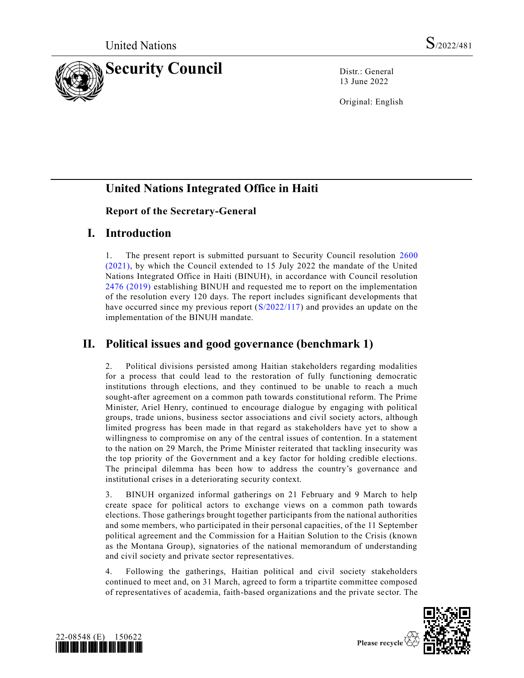

13 June 2022

Original: English

# **United Nations Integrated Office in Haiti**

#### **Report of the Secretary-General**

### **I. Introduction**

1. The present report is submitted pursuant to Security Council resolution [2600](https://undocs.org/en/S/RES/2600(2021))  [\(2021\),](https://undocs.org/en/S/RES/2600(2021)) by which the Council extended to 15 July 2022 the mandate of the United Nations Integrated Office in Haiti (BINUH), in accordance with Council resolution [2476 \(2019\)](https://undocs.org/en/S/RES/2476(2019)) establishing BINUH and requested me to report on the implementation of the resolution every 120 days. The report includes significant developments that have occurred since my previous report [\(S/2022/117\)](https://undocs.org/en/S/2022/117) and provides an update on the implementation of the BINUH mandate.

# **II. Political issues and good governance (benchmark 1)**

2. Political divisions persisted among Haitian stakeholders regarding modalities for a process that could lead to the restoration of fully functioning democratic institutions through elections, and they continued to be unable to reach a much sought-after agreement on a common path towards constitutional reform. The Prime Minister, Ariel Henry, continued to encourage dialogue by engaging with political groups, trade unions, business sector associations and civil society actors, although limited progress has been made in that regard as stakeholders have yet to show a willingness to compromise on any of the central issues of contention. In a statement to the nation on 29 March, the Prime Minister reiterated that tackling insecurity was the top priority of the Government and a key factor for holding credible elections. The principal dilemma has been how to address the country's governance and institutional crises in a deteriorating security context.

3. BINUH organized informal gatherings on 21 February and 9 March to help create space for political actors to exchange views on a common path towards elections. Those gatherings brought together participants from the national authorities and some members, who participated in their personal capacities, of the 11 September political agreement and the Commission for a Haitian Solution to the Crisis (known as the Montana Group), signatories of the national memorandum of understanding and civil society and private sector representatives.

4. Following the gatherings, Haitian political and civil society stakeholders continued to meet and, on 31 March, agreed to form a tripartite committee composed of representatives of academia, faith-based organizations and the private sector. The



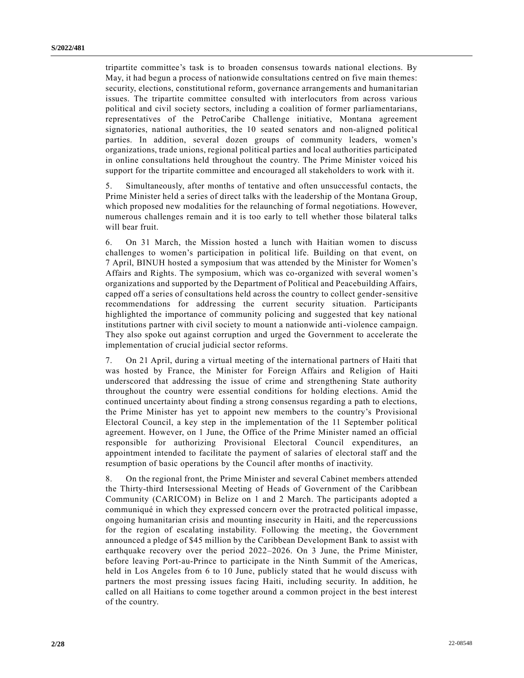tripartite committee's task is to broaden consensus towards national elections. By May, it had begun a process of nationwide consultations centred on five main themes: security, elections, constitutional reform, governance arrangements and humanitarian issues. The tripartite committee consulted with interlocutors from across various political and civil society sectors, including a coalition of former parliamentarians, representatives of the PetroCaribe Challenge initiative, Montana agreement signatories, national authorities, the 10 seated senators and non-aligned political parties. In addition, several dozen groups of community leaders, women's organizations, trade unions, regional political parties and local authorities participated in online consultations held throughout the country. The Prime Minister voiced his support for the tripartite committee and encouraged all stakeholders to work with it.

5. Simultaneously, after months of tentative and often unsuccessful contacts, the Prime Minister held a series of direct talks with the leadership of the Montana Group, which proposed new modalities for the relaunching of formal negotiations. However, numerous challenges remain and it is too early to tell whether those bilateral talks will bear fruit.

6. On 31 March, the Mission hosted a lunch with Haitian women to discuss challenges to women's participation in political life. Building on that event, on 7 April, BINUH hosted a symposium that was attended by the Minister for Women's Affairs and Rights. The symposium, which was co-organized with several women's organizations and supported by the Department of Political and Peacebuilding Affairs, capped off a series of consultations held across the country to collect gender-sensitive recommendations for addressing the current security situation. Participants highlighted the importance of community policing and suggested that key national institutions partner with civil society to mount a nationwide anti-violence campaign. They also spoke out against corruption and urged the Government to accelerate the implementation of crucial judicial sector reforms.

7. On 21 April, during a virtual meeting of the international partners of Haiti that was hosted by France, the Minister for Foreign Affairs and Religion of Haiti underscored that addressing the issue of crime and strengthening State authority throughout the country were essential conditions for holding elections. Amid the continued uncertainty about finding a strong consensus regarding a path to elections, the Prime Minister has yet to appoint new members to the country's Provisional Electoral Council, a key step in the implementation of the 11 September political agreement. However, on 1 June, the Office of the Prime Minister named an official responsible for authorizing Provisional Electoral Council expenditures, an appointment intended to facilitate the payment of salaries of electoral staff and the resumption of basic operations by the Council after months of inactivity.

8. On the regional front, the Prime Minister and several Cabinet members attended the Thirty-third Intersessional Meeting of Heads of Government of the Caribbean Community (CARICOM) in Belize on 1 and 2 March. The participants adopted a communiqué in which they expressed concern over the protracted political impasse, ongoing humanitarian crisis and mounting insecurity in Haiti, and the repercussions for the region of escalating instability. Following the meeting, the Government announced a pledge of \$45 million by the Caribbean Development Bank to assist with earthquake recovery over the period 2022–2026. On 3 June, the Prime Minister, before leaving Port-au-Prince to participate in the Ninth Summit of the Americas, held in Los Angeles from 6 to 10 June, publicly stated that he would discuss with partners the most pressing issues facing Haiti, including security. In addition, he called on all Haitians to come together around a common project in the best interest of the country.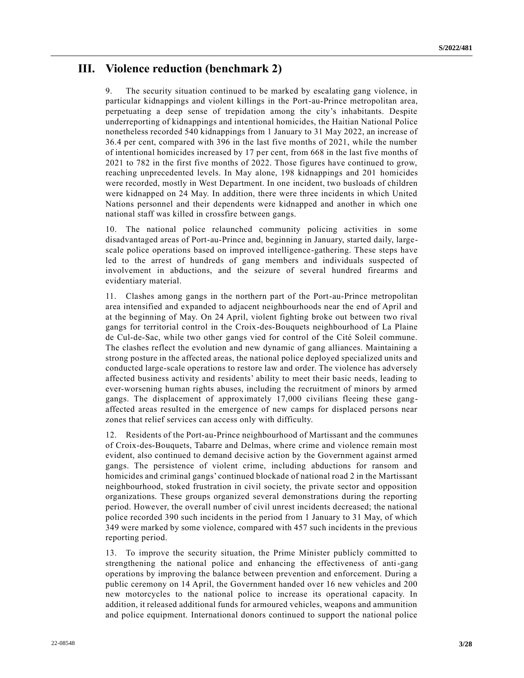### **III. Violence reduction (benchmark 2)**

9. The security situation continued to be marked by escalating gang violence, in particular kidnappings and violent killings in the Port-au-Prince metropolitan area, perpetuating a deep sense of trepidation among the city's inhabitants. Despite underreporting of kidnappings and intentional homicides, the Haitian National Police nonetheless recorded 540 kidnappings from 1 January to 31 May 2022, an increase of 36.4 per cent, compared with 396 in the last five months of 2021, while the number of intentional homicides increased by 17 per cent, from 668 in the last five months of 2021 to 782 in the first five months of 2022. Those figures have continued to grow, reaching unprecedented levels. In May alone, 198 kidnappings and 201 homicides were recorded, mostly in West Department. In one incident, two busloads of children were kidnapped on 24 May. In addition, there were three incidents in which United Nations personnel and their dependents were kidnapped and another in which one national staff was killed in crossfire between gangs.

10. The national police relaunched community policing activities in some disadvantaged areas of Port-au-Prince and, beginning in January, started daily, largescale police operations based on improved intelligence-gathering. These steps have led to the arrest of hundreds of gang members and individuals suspected of involvement in abductions, and the seizure of several hundred firearms and evidentiary material.

11. Clashes among gangs in the northern part of the Port-au-Prince metropolitan area intensified and expanded to adjacent neighbourhoods near the end of April and at the beginning of May. On 24 April, violent fighting broke out between two rival gangs for territorial control in the Croix-des-Bouquets neighbourhood of La Plaine de Cul-de-Sac, while two other gangs vied for control of the Cité Soleil commune. The clashes reflect the evolution and new dynamic of gang alliances. Maintaining a strong posture in the affected areas, the national police deployed specialized units and conducted large-scale operations to restore law and order. The violence has adversely affected business activity and residents' ability to meet their basic needs, leading to ever-worsening human rights abuses, including the recruitment of minors by armed gangs. The displacement of approximately 17,000 civilians fleeing these gangaffected areas resulted in the emergence of new camps for displaced persons near zones that relief services can access only with difficulty.

12. Residents of the Port-au-Prince neighbourhood of Martissant and the communes of Croix-des-Bouquets, Tabarre and Delmas, where crime and violence remain most evident, also continued to demand decisive action by the Government against armed gangs. The persistence of violent crime, including abductions for ransom and homicides and criminal gangs' continued blockade of national road 2 in the Martissant neighbourhood, stoked frustration in civil society, the private sector and opposition organizations. These groups organized several demonstrations during the reporting period. However, the overall number of civil unrest incidents decreased; the national police recorded 390 such incidents in the period from 1 January to 31 May, of which 349 were marked by some violence, compared with 457 such incidents in the previous reporting period.

13. To improve the security situation, the Prime Minister publicly committed to strengthening the national police and enhancing the effectiveness of anti-gang operations by improving the balance between prevention and enforcement. During a public ceremony on 14 April, the Government handed over 16 new vehicles and 200 new motorcycles to the national police to increase its operational capacity. In addition, it released additional funds for armoured vehicles, weapons and ammunition and police equipment. International donors continued to support the national police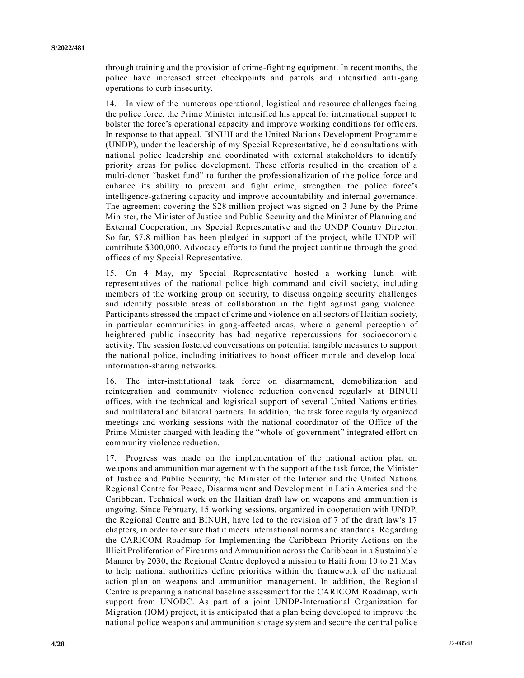through training and the provision of crime-fighting equipment. In recent months, the police have increased street checkpoints and patrols and intensified anti-gang operations to curb insecurity.

14. In view of the numerous operational, logistical and resource challenges facing the police force, the Prime Minister intensified his appeal for international support to bolster the force's operational capacity and improve working conditions for offic ers. In response to that appeal, BINUH and the United Nations Development Programme (UNDP), under the leadership of my Special Representative, held consultations with national police leadership and coordinated with external stakeholders to identify priority areas for police development. These efforts resulted in the creation of a multi-donor "basket fund" to further the professionalization of the police force and enhance its ability to prevent and fight crime, strengthen the police force's intelligence-gathering capacity and improve accountability and internal governance. The agreement covering the \$28 million project was signed on 3 June by the Prime Minister, the Minister of Justice and Public Security and the Minister of Planning and External Cooperation, my Special Representative and the UNDP Country Director. So far, \$7.8 million has been pledged in support of the project, while UNDP will contribute \$300,000. Advocacy efforts to fund the project continue through the good offices of my Special Representative.

15. On 4 May, my Special Representative hosted a working lunch with representatives of the national police high command and civil society, including members of the working group on security, to discuss ongoing security challenges and identify possible areas of collaboration in the fight against gang violence. Participants stressed the impact of crime and violence on all sectors of Haitian society, in particular communities in gang-affected areas, where a general perception of heightened public insecurity has had negative repercussions for socioeconomic activity. The session fostered conversations on potential tangible measures to support the national police, including initiatives to boost officer morale and develop local information-sharing networks.

16. The inter-institutional task force on disarmament, demobilization and reintegration and community violence reduction convened regularly at BINUH offices, with the technical and logistical support of several United Nations entities and multilateral and bilateral partners. In addition, the task force regularly organized meetings and working sessions with the national coordinator of the Office of the Prime Minister charged with leading the "whole-of-government" integrated effort on community violence reduction.

17. Progress was made on the implementation of the national action plan on weapons and ammunition management with the support of the task force, the Minister of Justice and Public Security, the Minister of the Interior and the United Nations Regional Centre for Peace, Disarmament and Development in Latin America and the Caribbean. Technical work on the Haitian draft law on weapons and ammunition is ongoing. Since February, 15 working sessions, organized in cooperation with UNDP, the Regional Centre and BINUH, have led to the revision of 7 of the draft law's 17 chapters, in order to ensure that it meets international norms and standards. Regarding the CARICOM Roadmap for Implementing the Caribbean Priority Actions on the Illicit Proliferation of Firearms and Ammunition across the Caribbean in a Sustainable Manner by 2030, the Regional Centre deployed a mission to Haiti from 10 to 21 May to help national authorities define priorities within the framework of the national action plan on weapons and ammunition management. In addition, the Regional Centre is preparing a national baseline assessment for the CARICOM Roadmap, with support from UNODC. As part of a joint UNDP-International Organization for Migration (IOM) project, it is anticipated that a plan being developed to improve the national police weapons and ammunition storage system and secure the central police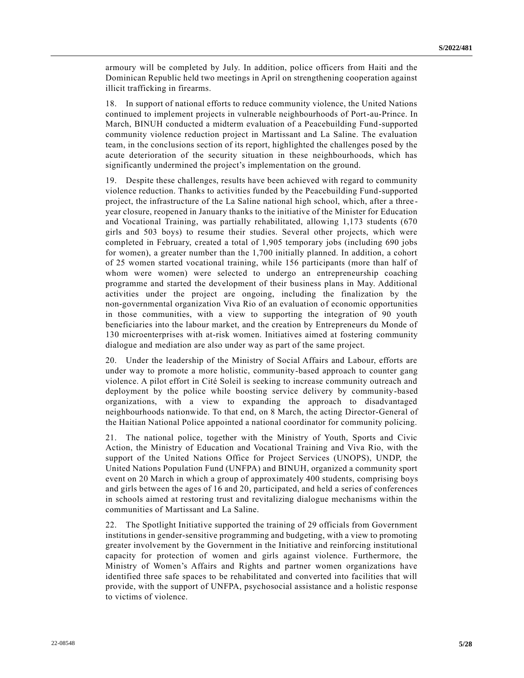armoury will be completed by July. In addition, police officers from Haiti and the Dominican Republic held two meetings in April on strengthening cooperation against illicit trafficking in firearms.

18. In support of national efforts to reduce community violence, the United Nations continued to implement projects in vulnerable neighbourhoods of Port-au-Prince. In March, BINUH conducted a midterm evaluation of a Peacebuilding Fund-supported community violence reduction project in Martissant and La Saline. The evaluation team, in the conclusions section of its report, highlighted the challenges posed by the acute deterioration of the security situation in these neighbourhoods, which has significantly undermined the project's implementation on the ground.

19. Despite these challenges, results have been achieved with regard to community violence reduction. Thanks to activities funded by the Peacebuilding Fund-supported project, the infrastructure of the La Saline national high school, which, after a three year closure, reopened in January thanks to the initiative of the Minister for Education and Vocational Training, was partially rehabilitated, allowing 1,173 students (670 girls and 503 boys) to resume their studies. Several other projects, which were completed in February, created a total of 1,905 temporary jobs (including 690 jobs for women), a greater number than the 1,700 initially planned. In addition, a cohort of 25 women started vocational training, while 156 participants (more than half of whom were women) were selected to undergo an entrepreneurship coaching programme and started the development of their business plans in May. Additional activities under the project are ongoing, including the finalization by the non-governmental organization Viva Rio of an evaluation of economic opportunities in those communities, with a view to supporting the integration of 90 youth beneficiaries into the labour market, and the creation by Entrepreneurs du Monde of 130 microenterprises with at-risk women. Initiatives aimed at fostering community dialogue and mediation are also under way as part of the same project.

20. Under the leadership of the Ministry of Social Affairs and Labour, efforts are under way to promote a more holistic, community-based approach to counter gang violence. A pilot effort in Cité Soleil is seeking to increase community outreach and deployment by the police while boosting service delivery by community-based organizations, with a view to expanding the approach to disadvantaged neighbourhoods nationwide. To that end, on 8 March, the acting Director-General of the Haitian National Police appointed a national coordinator for community policing.

21. The national police, together with the Ministry of Youth, Sports and Civic Action, the Ministry of Education and Vocational Training and Viva Rio, with the support of the United Nations Office for Project Services (UNOPS), UNDP, the United Nations Population Fund (UNFPA) and BINUH, organized a community sport event on 20 March in which a group of approximately 400 students, comprising boys and girls between the ages of 16 and 20, participated, and held a series of conferences in schools aimed at restoring trust and revitalizing dialogue mechanisms within the communities of Martissant and La Saline.

22. The Spotlight Initiative supported the training of 29 officials from Government institutions in gender-sensitive programming and budgeting, with a view to promoting greater involvement by the Government in the Initiative and reinforcing institutional capacity for protection of women and girls against violence. Furthermore, the Ministry of Women's Affairs and Rights and partner women organizations have identified three safe spaces to be rehabilitated and converted into facilities that will provide, with the support of UNFPA, psychosocial assistance and a holistic response to victims of violence.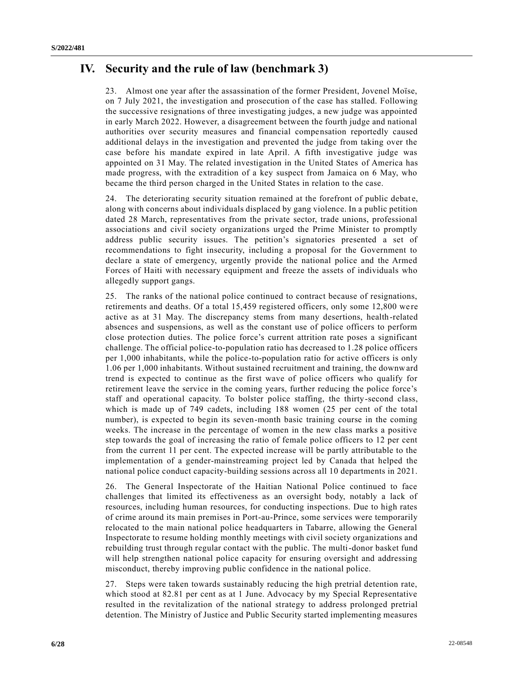## **IV. Security and the rule of law (benchmark 3)**

23. Almost one year after the assassination of the former President, Jovenel Moïse, on 7 July 2021, the investigation and prosecution of the case has stalled. Following the successive resignations of three investigating judges, a new judge was appointed in early March 2022. However, a disagreement between the fourth judge and national authorities over security measures and financial compensation reportedly caused additional delays in the investigation and prevented the judge from taking over the case before his mandate expired in late April. A fifth investigative judge was appointed on 31 May. The related investigation in the United States of America has made progress, with the extradition of a key suspect from Jamaica on 6 May, who became the third person charged in the United States in relation to the case.

24. The deteriorating security situation remained at the forefront of public debate, along with concerns about individuals displaced by gang violence. In a public petition dated 28 March, representatives from the private sector, trade unions, professional associations and civil society organizations urged the Prime Minister to promptly address public security issues. The petition's signatories presented a set of recommendations to fight insecurity, including a proposal for the Government to declare a state of emergency, urgently provide the national police and the Armed Forces of Haiti with necessary equipment and freeze the assets of individuals who allegedly support gangs.

25. The ranks of the national police continued to contract because of resignations, retirements and deaths. Of a total 15,459 registered officers, only some 12,800 we re active as at 31 May. The discrepancy stems from many desertions, health-related absences and suspensions, as well as the constant use of police officers to perform close protection duties. The police force's current attrition rate poses a significant challenge. The official police-to-population ratio has decreased to 1.28 police officers per 1,000 inhabitants, while the police-to-population ratio for active officers is only 1.06 per 1,000 inhabitants. Without sustained recruitment and training, the downward trend is expected to continue as the first wave of police officers who qualify for retirement leave the service in the coming years, further reducing the police force's staff and operational capacity. To bolster police staffing, the thirty-second class, which is made up of 749 cadets, including 188 women (25 per cent of the total number), is expected to begin its seven-month basic training course in the coming weeks. The increase in the percentage of women in the new class marks a positive step towards the goal of increasing the ratio of female police officers to 12 per cent from the current 11 per cent. The expected increase will be partly attributable to the implementation of a gender-mainstreaming project led by Canada that helped the national police conduct capacity-building sessions across all 10 departments in 2021.

26. The General Inspectorate of the Haitian National Police continued to face challenges that limited its effectiveness as an oversight body, notably a lack of resources, including human resources, for conducting inspections. Due to high rates of crime around its main premises in Port-au-Prince, some services were temporarily relocated to the main national police headquarters in Tabarre, allowing the General Inspectorate to resume holding monthly meetings with civil society organizations and rebuilding trust through regular contact with the public. The multi-donor basket fund will help strengthen national police capacity for ensuring oversight and addressing misconduct, thereby improving public confidence in the national police.

27. Steps were taken towards sustainably reducing the high pretrial detention rate, which stood at 82.81 per cent as at 1 June. Advocacy by my Special Representative resulted in the revitalization of the national strategy to address prolonged pretrial detention. The Ministry of Justice and Public Security started implementing measures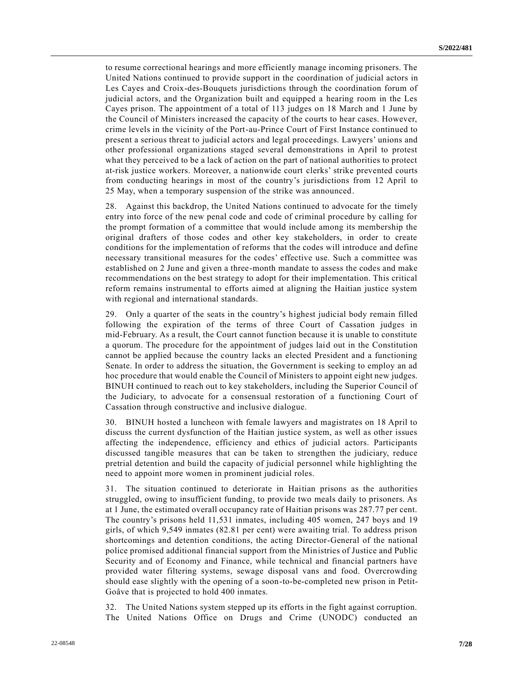to resume correctional hearings and more efficiently manage incoming prisoners. The United Nations continued to provide support in the coordination of judicial actors in Les Cayes and Croix-des-Bouquets jurisdictions through the coordination forum of judicial actors, and the Organization built and equipped a hearing room in the Les Cayes prison. The appointment of a total of 113 judges on 18 March and 1 June by the Council of Ministers increased the capacity of the courts to hear cases. However, crime levels in the vicinity of the Port-au-Prince Court of First Instance continued to present a serious threat to judicial actors and legal proceedings. Lawyers' unions and other professional organizations staged several demonstrations in April to protest what they perceived to be a lack of action on the part of national authorities to protect at-risk justice workers. Moreover, a nationwide court clerks' strike prevented courts from conducting hearings in most of the country's jurisdictions from 12 April to 25 May, when a temporary suspension of the strike was announced.

28. Against this backdrop, the United Nations continued to advocate for the timely entry into force of the new penal code and code of criminal procedure by calling for the prompt formation of a committee that would include among its membership the original drafters of those codes and other key stakeholders, in order to create conditions for the implementation of reforms that the codes will introduce and define necessary transitional measures for the codes' effective use. Such a committee was established on 2 June and given a three-month mandate to assess the codes and make recommendations on the best strategy to adopt for their implementation. This critical reform remains instrumental to efforts aimed at aligning the Haitian justice system with regional and international standards.

29. Only a quarter of the seats in the country's highest judicial body remain filled following the expiration of the terms of three Court of Cassation judges in mid-February. As a result, the Court cannot function because it is unable to constitute a quorum. The procedure for the appointment of judges laid out in the Constitution cannot be applied because the country lacks an elected President and a functioning Senate. In order to address the situation, the Government is seeking to employ an ad hoc procedure that would enable the Council of Ministers to appoint eight new judges. BINUH continued to reach out to key stakeholders, including the Superior Council of the Judiciary, to advocate for a consensual restoration of a functioning Court of Cassation through constructive and inclusive dialogue.

30. BINUH hosted a luncheon with female lawyers and magistrates on 18 April to discuss the current dysfunction of the Haitian justice system, as well as other issues affecting the independence, efficiency and ethics of judicial actors. Participants discussed tangible measures that can be taken to strengthen the judiciary, reduce pretrial detention and build the capacity of judicial personnel while highlighting the need to appoint more women in prominent judicial roles.

31. The situation continued to deteriorate in Haitian prisons as the authorities struggled, owing to insufficient funding, to provide two meals daily to prisoners. As at 1 June, the estimated overall occupancy rate of Haitian prisons was 287.77 per cent. The country's prisons held 11,531 inmates, including 405 women, 247 boys and 19 girls, of which 9,549 inmates (82.81 per cent) were awaiting trial. To address prison shortcomings and detention conditions, the acting Director-General of the national police promised additional financial support from the Ministries of Justice and Public Security and of Economy and Finance, while technical and financial partners have provided water filtering systems, sewage disposal vans and food. Overcrowding should ease slightly with the opening of a soon-to-be-completed new prison in Petit-Goâve that is projected to hold 400 inmates.

32. The United Nations system stepped up its efforts in the fight against corruption. The United Nations Office on Drugs and Crime (UNODC) conducted an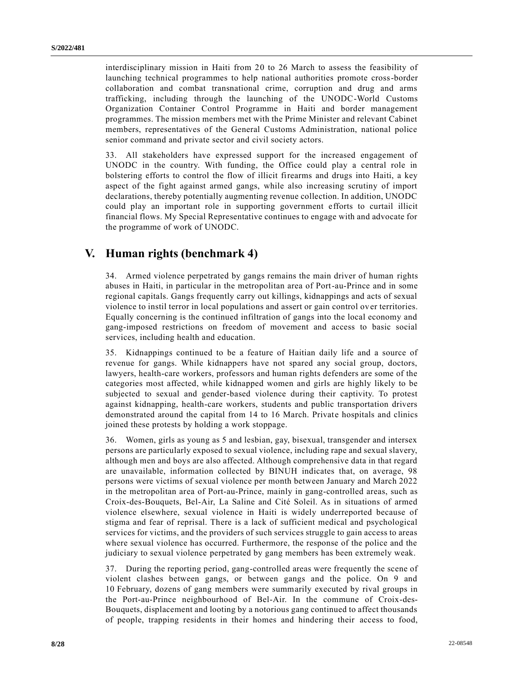interdisciplinary mission in Haiti from 20 to 26 March to assess the feasibility of launching technical programmes to help national authorities promote cross-border collaboration and combat transnational crime, corruption and drug and arms trafficking, including through the launching of the UNODC-World Customs Organization Container Control Programme in Haiti and border management programmes. The mission members met with the Prime Minister and relevant Cabinet members, representatives of the General Customs Administration, national police senior command and private sector and civil society actors.

33. All stakeholders have expressed support for the increased engagement of UNODC in the country. With funding, the Office could play a central role in bolstering efforts to control the flow of illicit firearms and drugs into Haiti, a key aspect of the fight against armed gangs, while also increasing scrutiny of import declarations, thereby potentially augmenting revenue collection. In addition, UNODC could play an important role in supporting government efforts to curtail illicit financial flows. My Special Representative continues to engage with and advocate for the programme of work of UNODC.

# **V. Human rights (benchmark 4)**

34. Armed violence perpetrated by gangs remains the main driver of human rights abuses in Haiti, in particular in the metropolitan area of Port-au-Prince and in some regional capitals. Gangs frequently carry out killings, kidnappings and acts of sexual violence to instil terror in local populations and assert or gain control ov er territories. Equally concerning is the continued infiltration of gangs into the local economy and gang-imposed restrictions on freedom of movement and access to basic social services, including health and education.

35. Kidnappings continued to be a feature of Haitian daily life and a source of revenue for gangs. While kidnappers have not spared any social group, doctors, lawyers, health-care workers, professors and human rights defenders are some of the categories most affected, while kidnapped women and girls are highly likely to be subjected to sexual and gender-based violence during their captivity. To protest against kidnapping, health-care workers, students and public transportation drivers demonstrated around the capital from 14 to 16 March. Private hospitals and clinics joined these protests by holding a work stoppage.

36. Women, girls as young as 5 and lesbian, gay, bisexual, transgender and intersex persons are particularly exposed to sexual violence, including rape and sexual slavery, although men and boys are also affected. Although comprehensive data in that regard are unavailable, information collected by BINUH indicates that, on average, 98 persons were victims of sexual violence per month between January and March 2022 in the metropolitan area of Port-au-Prince, mainly in gang-controlled areas, such as Croix-des-Bouquets, Bel-Air, La Saline and Cité Soleil. As in situations of armed violence elsewhere, sexual violence in Haiti is widely underreported because of stigma and fear of reprisal. There is a lack of sufficient medical and psychological services for victims, and the providers of such services struggle to gain access to areas where sexual violence has occurred. Furthermore, the response of the police and the judiciary to sexual violence perpetrated by gang members has been extremely weak.

37. During the reporting period, gang-controlled areas were frequently the scene of violent clashes between gangs, or between gangs and the police. On 9 and 10 February, dozens of gang members were summarily executed by rival groups in the Port-au-Prince neighbourhood of Bel-Air. In the commune of Croix-des-Bouquets, displacement and looting by a notorious gang continued to affect thousands of people, trapping residents in their homes and hindering their access to food,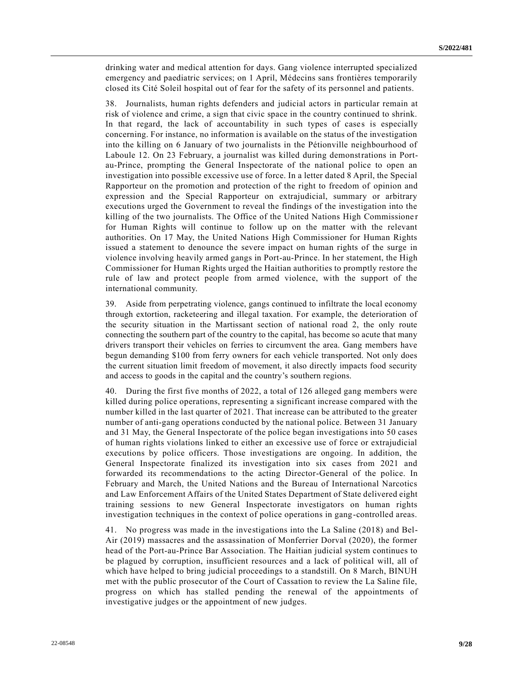drinking water and medical attention for days. Gang violence interrupted specialized emergency and paediatric services; on 1 April, Médecins sans frontières temporarily closed its Cité Soleil hospital out of fear for the safety of its personnel and patients.

38. Journalists, human rights defenders and judicial actors in particular remain at risk of violence and crime, a sign that civic space in the country continued to shrink. In that regard, the lack of accountability in such types of cases is especially concerning. For instance, no information is available on the status of the investigation into the killing on 6 January of two journalists in the Pétionville neighbourhood of Laboule 12. On 23 February, a journalist was killed during demonstrations in Portau-Prince, prompting the General Inspectorate of the national police to open an investigation into possible excessive use of force. In a letter dated 8 April, the Special Rapporteur on the promotion and protection of the right to freedom of opinion and expression and the Special Rapporteur on extrajudicial, summary or arbitrary executions urged the Government to reveal the findings of the investigation into the killing of the two journalists. The Office of the United Nations High Commissione r for Human Rights will continue to follow up on the matter with the relevant authorities. On 17 May, the United Nations High Commissioner for Human Rights issued a statement to denounce the severe impact on human rights of the surge in violence involving heavily armed gangs in Port-au-Prince. In her statement, the High Commissioner for Human Rights urged the Haitian authorities to promptly restore the rule of law and protect people from armed violence, with the support of the international community.

39. Aside from perpetrating violence, gangs continued to infiltrate the local economy through extortion, racketeering and illegal taxation. For example, the deterioration of the security situation in the Martissant section of national road 2, the only route connecting the southern part of the country to the capital, has become so acute that many drivers transport their vehicles on ferries to circumvent the area. Gang members have begun demanding \$100 from ferry owners for each vehicle transported. Not only does the current situation limit freedom of movement, it also directly impacts food security and access to goods in the capital and the country's southern regions.

40. During the first five months of 2022, a total of 126 alleged gang members were killed during police operations, representing a significant increase compared with the number killed in the last quarter of 2021. That increase can be attributed to the greater number of anti-gang operations conducted by the national police. Between 31 January and 31 May, the General Inspectorate of the police began investigations into 50 cases of human rights violations linked to either an excessive use of force or extrajudicial executions by police officers. Those investigations are ongoing. In addition, the General Inspectorate finalized its investigation into six cases from 2021 and forwarded its recommendations to the acting Director-General of the police. In February and March, the United Nations and the Bureau of International Narcotics and Law Enforcement Affairs of the United States Department of State delivered eight training sessions to new General Inspectorate investigators on human rights investigation techniques in the context of police operations in gang-controlled areas.

41. No progress was made in the investigations into the La Saline (2018) and Bel-Air (2019) massacres and the assassination of Monferrier Dorval (2020), the former head of the Port-au-Prince Bar Association. The Haitian judicial system continues to be plagued by corruption, insufficient resources and a lack of political will, all of which have helped to bring judicial proceedings to a standstill. On 8 March, BINUH met with the public prosecutor of the Court of Cassation to review the La Saline file, progress on which has stalled pending the renewal of the appointments of investigative judges or the appointment of new judges.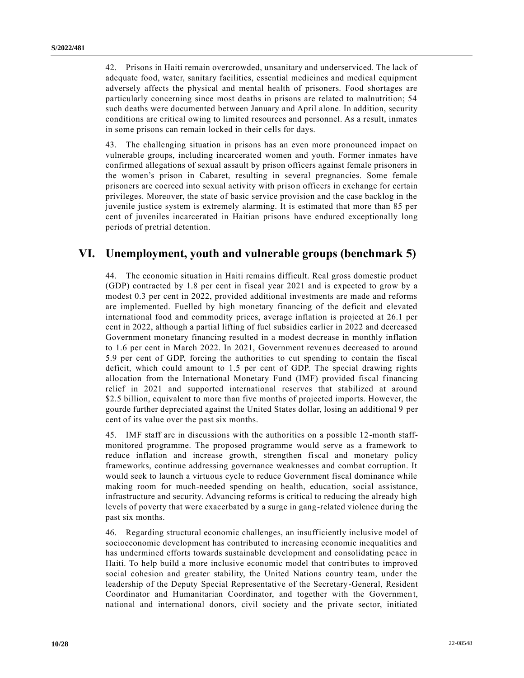42. Prisons in Haiti remain overcrowded, unsanitary and underserviced. The lack of adequate food, water, sanitary facilities, essential medicines and medical equipment adversely affects the physical and mental health of prisoners. Food shortages are particularly concerning since most deaths in prisons are related to malnutrition; 54 such deaths were documented between January and April alone. In addition, security conditions are critical owing to limited resources and personnel. As a result, inmates in some prisons can remain locked in their cells for days.

43. The challenging situation in prisons has an even more pronounced impact on vulnerable groups, including incarcerated women and youth. Former inmates have confirmed allegations of sexual assault by prison officers against female prisoners in the women's prison in Cabaret, resulting in several pregnancies. Some female prisoners are coerced into sexual activity with prison officers in exchange for certain privileges. Moreover, the state of basic service provision and the case backlog in the juvenile justice system is extremely alarming. It is estimated that more than 85 per cent of juveniles incarcerated in Haitian prisons have endured exceptionally long periods of pretrial detention.

#### **VI. Unemployment, youth and vulnerable groups (benchmark 5)**

44. The economic situation in Haiti remains difficult. Real gross domestic product (GDP) contracted by 1.8 per cent in fiscal year 2021 and is expected to grow by a modest 0.3 per cent in 2022, provided additional investments are made and reforms are implemented. Fuelled by high monetary financing of the deficit and elevated international food and commodity prices, average inflation is projected at 26.1 per cent in 2022, although a partial lifting of fuel subsidies earlier in 2022 and decreased Government monetary financing resulted in a modest decrease in monthly inflation to 1.6 per cent in March 2022. In 2021, Government revenues decreased to around 5.9 per cent of GDP, forcing the authorities to cut spending to contain the fiscal deficit, which could amount to 1.5 per cent of GDP. The special drawing rights allocation from the International Monetary Fund (IMF) provided fiscal financing relief in 2021 and supported international reserves that stabilized at around \$2.5 billion, equivalent to more than five months of projected imports. However, the gourde further depreciated against the United States dollar, losing an additional 9 per cent of its value over the past six months.

45. IMF staff are in discussions with the authorities on a possible 12-month staffmonitored programme. The proposed programme would serve as a framework to reduce inflation and increase growth, strengthen fiscal and monetary policy frameworks, continue addressing governance weaknesses and combat corruption. It would seek to launch a virtuous cycle to reduce Government fiscal dominance while making room for much-needed spending on health, education, social assistance, infrastructure and security. Advancing reforms is critical to reducing the already high levels of poverty that were exacerbated by a surge in gang-related violence during the past six months.

46. Regarding structural economic challenges, an insufficiently inclusive model of socioeconomic development has contributed to increasing economic inequalities and has undermined efforts towards sustainable development and consolidating peace in Haiti. To help build a more inclusive economic model that contributes to improved social cohesion and greater stability, the United Nations country team, under the leadership of the Deputy Special Representative of the Secretary-General, Resident Coordinator and Humanitarian Coordinator, and together with the Government, national and international donors, civil society and the private sector, initiated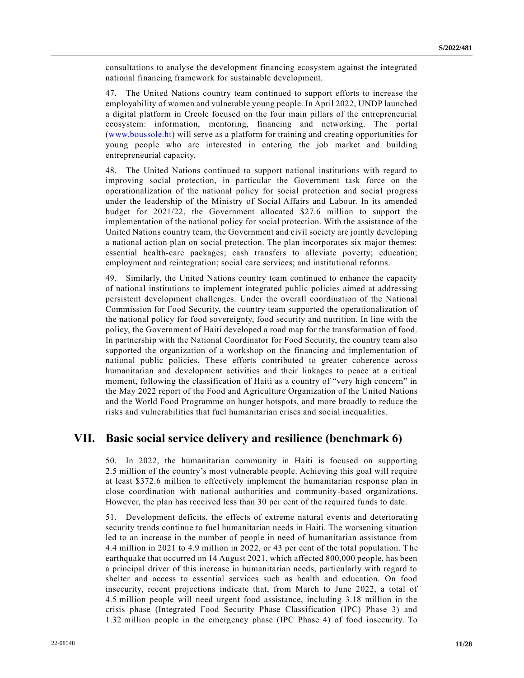consultations to analyse the development financing ecosystem against the integrated national financing framework for sustainable development.

47. The United Nations country team continued to support efforts to increase the employability of women and vulnerable young people. In April 2022, UNDP launched a digital platform in Creole focused on the four main pillars of the entrepreneurial ecosystem: information, mentoring, financing and networking. The portal [\(www.boussole.ht\)](http://www.boussole.ht/) will serve as a platform for training and creating opportunities for young people who are interested in entering the job market and building entrepreneurial capacity.

48. The United Nations continued to support national institutions with regard to improving social protection, in particular the Government task force on the operationalization of the national policy for social protection and social progress under the leadership of the Ministry of Social Affairs and Labour. In its amended budget for 2021/22, the Government allocated \$27.6 million to support the implementation of the national policy for social protection. With the assistance of the United Nations country team, the Government and civil society are jointly developing a national action plan on social protection. The plan incorporates six major themes: essential health-care packages; cash transfers to alleviate poverty; education; employment and reintegration; social care services; and institutional reforms.

49. Similarly, the United Nations country team continued to enhance the capacity of national institutions to implement integrated public policies aimed at addressing persistent development challenges. Under the overall coordination of the National Commission for Food Security, the country team supported the operationalization of the national policy for food sovereignty, food security and nutrition. In line with the policy, the Government of Haiti developed a road map for the transformation of food. In partnership with the National Coordinator for Food Security, the country team also supported the organization of a workshop on the financing and implementation of national public policies. These efforts contributed to greater coherence across humanitarian and development activities and their linkages to peace at a critical moment, following the classification of Haiti as a country of "very high concern" in the May 2022 report of the Food and Agriculture Organization of the United Nations and the World Food Programme on hunger hotspots, and more broadly to reduce the risks and vulnerabilities that fuel humanitarian crises and social inequalities.

#### **VII. Basic social service delivery and resilience (benchmark 6)**

50. In 2022, the humanitarian community in Haiti is focused on supporting 2.5 million of the country's most vulnerable people. Achieving this goal will require at least \$372.6 million to effectively implement the humanitarian response plan in close coordination with national authorities and community-based organizations. However, the plan has received less than 30 per cent of the required funds to date.

51. Development deficits, the effects of extreme natural events and deteriorating security trends continue to fuel humanitarian needs in Haiti. The worsening situation led to an increase in the number of people in need of humanitarian assistance from 4.4 million in 2021 to 4.9 million in 2022, or 43 per cent of the total population. The earthquake that occurred on 14 August 2021, which affected 800,000 people, has been a principal driver of this increase in humanitarian needs, particularly with regard to shelter and access to essential services such as health and education. On food insecurity, recent projections indicate that, from March to June 2022, a total of 4.5 million people will need urgent food assistance, including 3.18 million in the crisis phase (Integrated Food Security Phase Classification (IPC) Phase 3) and 1.32 million people in the emergency phase (IPC Phase 4) of food insecurity. To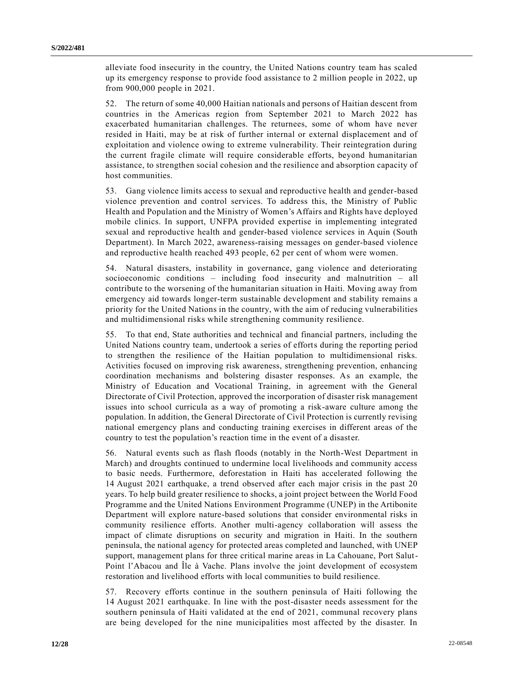alleviate food insecurity in the country, the United Nations country team has scaled up its emergency response to provide food assistance to 2 million people in 2022, up from 900,000 people in 2021.

52. The return of some 40,000 Haitian nationals and persons of Haitian descent from countries in the Americas region from September 2021 to March 2022 has exacerbated humanitarian challenges. The returnees, some of whom have never resided in Haiti, may be at risk of further internal or external displacement and of exploitation and violence owing to extreme vulnerability. Their reintegration during the current fragile climate will require considerable efforts, beyond humanitarian assistance, to strengthen social cohesion and the resilience and absorption capacity of host communities.

53. Gang violence limits access to sexual and reproductive health and gender-based violence prevention and control services. To address this, the Ministry of Public Health and Population and the Ministry of Women's Affairs and Rights have deployed mobile clinics. In support, UNFPA provided expertise in implementing integrated sexual and reproductive health and gender-based violence services in Aquin (South Department). In March 2022, awareness-raising messages on gender-based violence and reproductive health reached 493 people, 62 per cent of whom were women.

54. Natural disasters, instability in governance, gang violence and deteriorating socioeconomic conditions – including food insecurity and malnutrition – all contribute to the worsening of the humanitarian situation in Haiti. Moving away from emergency aid towards longer-term sustainable development and stability remains a priority for the United Nations in the country, with the aim of reducing vulnerabilities and multidimensional risks while strengthening community resilience.

55. To that end, State authorities and technical and financial partners, including the United Nations country team, undertook a series of efforts during the reporting period to strengthen the resilience of the Haitian population to multidimensional risks. Activities focused on improving risk awareness, strengthening prevention, enhancing coordination mechanisms and bolstering disaster responses. As an example, the Ministry of Education and Vocational Training, in agreement with the General Directorate of Civil Protection, approved the incorporation of disaster risk management issues into school curricula as a way of promoting a risk-aware culture among the population. In addition, the General Directorate of Civil Protection is currently revising national emergency plans and conducting training exercises in different areas of the country to test the population's reaction time in the event of a disaster.

56. Natural events such as flash floods (notably in the North-West Department in March) and droughts continued to undermine local livelihoods and community access to basic needs. Furthermore, deforestation in Haiti has accelerated following the 14 August 2021 earthquake, a trend observed after each major crisis in the past 20 years. To help build greater resilience to shocks, a joint project between the World Food Programme and the United Nations Environment Programme (UNEP) in the Artibonite Department will explore nature-based solutions that consider environmental risks in community resilience efforts. Another multi-agency collaboration will assess the impact of climate disruptions on security and migration in Haiti. In the southern peninsula, the national agency for protected areas completed and launched, with UNEP support, management plans for three critical marine areas in La Cahouane, Port Salut-Point l'Abacou and Île à Vache. Plans involve the joint development of ecosystem restoration and livelihood efforts with local communities to build resilience.

57. Recovery efforts continue in the southern peninsula of Haiti following the 14 August 2021 earthquake. In line with the post-disaster needs assessment for the southern peninsula of Haiti validated at the end of 2021, communal recovery plans are being developed for the nine municipalities most affected by the disaster. In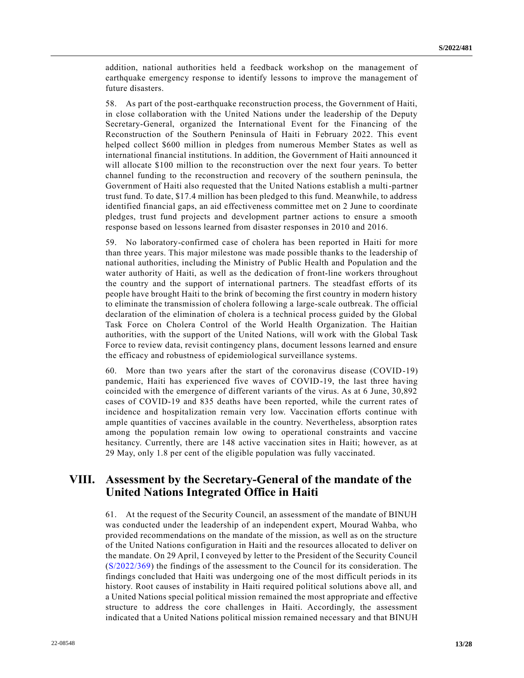addition, national authorities held a feedback workshop on the management of earthquake emergency response to identify lessons to improve the management of future disasters.

58. As part of the post-earthquake reconstruction process, the Government of Haiti, in close collaboration with the United Nations under the leadership of the Deputy Secretary-General, organized the International Event for the Financing of the Reconstruction of the Southern Peninsula of Haiti in February 2022. This event helped collect \$600 million in pledges from numerous Member States as well as international financial institutions. In addition, the Government of Haiti announced it will allocate \$100 million to the reconstruction over the next four years. To better channel funding to the reconstruction and recovery of the southern peninsula, the Government of Haiti also requested that the United Nations establish a multi-partner trust fund. To date, \$17.4 million has been pledged to this fund. Meanwhile, to address identified financial gaps, an aid effectiveness committee met on 2 June to coordinate pledges, trust fund projects and development partner actions to ensure a smooth response based on lessons learned from disaster responses in 2010 and 2016.

59. No laboratory-confirmed case of cholera has been reported in Haiti for more than three years. This major milestone was made possible thanks to the leadership of national authorities, including the Ministry of Public Health and Population and the water authority of Haiti, as well as the dedication of front-line workers throughout the country and the support of international partners. The steadfast efforts of its people have brought Haiti to the brink of becoming the first country in modern history to eliminate the transmission of cholera following a large-scale outbreak. The official declaration of the elimination of cholera is a technical process guided by the Global Task Force on Cholera Control of the World Health Organization. The Haitian authorities, with the support of the United Nations, will work with the Global Task Force to review data, revisit contingency plans, document lessons learned and ensure the efficacy and robustness of epidemiological surveillance systems.

60. More than two years after the start of the coronavirus disease (COVID-19) pandemic, Haiti has experienced five waves of COVID-19, the last three having coincided with the emergence of different variants of the virus. As at 6 June, 30,892 cases of COVID-19 and 835 deaths have been reported, while the current rates of incidence and hospitalization remain very low. Vaccination efforts continue with ample quantities of vaccines available in the country. Nevertheless, absorption rates among the population remain low owing to operational constraints and vaccine hesitancy. Currently, there are 148 active vaccination sites in Haiti; however, as at 29 May, only 1.8 per cent of the eligible population was fully vaccinated.

## **VIII. Assessment by the Secretary-General of the mandate of the United Nations Integrated Office in Haiti**

61. At the request of the Security Council, an assessment of the mandate of BINUH was conducted under the leadership of an independent expert, Mourad Wahba, who provided recommendations on the mandate of the mission, as well as on the structure of the United Nations configuration in Haiti and the resources allocated to deliver on the mandate. On 29 April, I conveyed by letter to the President of the Security Council [\(S/2022/369\)](https://undocs.org/en/S/2022/369) the findings of the assessment to the Council for its consideration. The findings concluded that Haiti was undergoing one of the most difficult periods in its history. Root causes of instability in Haiti required political solutions above all, and a United Nations special political mission remained the most appropriate and effective structure to address the core challenges in Haiti. Accordingly, the assessment indicated that a United Nations political mission remained necessary and that BINUH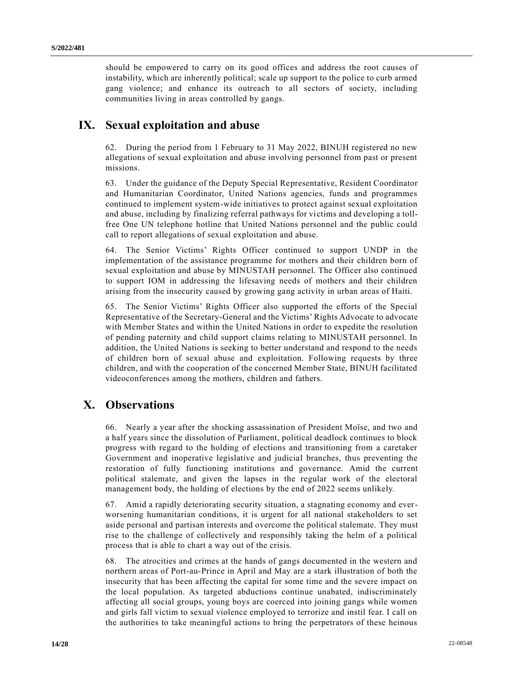should be empowered to carry on its good offices and address the root causes of instability, which are inherently political; scale up support to the police to curb armed gang violence; and enhance its outreach to all sectors of society, including communities living in areas controlled by gangs.

### **IX. Sexual exploitation and abuse**

62. During the period from 1 February to 31 May 2022, BINUH registered no new allegations of sexual exploitation and abuse involving personnel from past or present missions.

63. Under the guidance of the Deputy Special Representative, Resident Coordinator and Humanitarian Coordinator, United Nations agencies, funds and programmes continued to implement system-wide initiatives to protect against sexual exploitation and abuse, including by finalizing referral pathways for victims and developing a tollfree One UN telephone hotline that United Nations personnel and the public could call to report allegations of sexual exploitation and abuse.

64. The Senior Victims' Rights Officer continued to support UNDP in the implementation of the assistance programme for mothers and their children born of sexual exploitation and abuse by MINUSTAH personnel. The Officer also continued to support IOM in addressing the lifesaving needs of mothers and their children arising from the insecurity caused by growing gang activity in urban areas of Haiti.

65. The Senior Victims' Rights Officer also supported the efforts of the Special Representative of the Secretary-General and the Victims' Rights Advocate to advocate with Member States and within the United Nations in order to expedite the resolution of pending paternity and child support claims relating to MINUSTAH personnel. In addition, the United Nations is seeking to better understand and respond to the needs of children born of sexual abuse and exploitation. Following requests by three children, and with the cooperation of the concerned Member State, BINUH facilitated videoconferences among the mothers, children and fathers.

## **X. Observations**

66. Nearly a year after the shocking assassination of President Moïse, and two and a half years since the dissolution of Parliament, political deadlock continues to block progress with regard to the holding of elections and transitioning from a caretaker Government and inoperative legislative and judicial branches, thus preventing the restoration of fully functioning institutions and governance. Amid the current political stalemate, and given the lapses in the regular work of the electoral management body, the holding of elections by the end of 2022 seems unlikely.

67. Amid a rapidly deteriorating security situation, a stagnating economy and everworsening humanitarian conditions, it is urgent for all national stakeholders to set aside personal and partisan interests and overcome the political stalemate. They must rise to the challenge of collectively and responsibly taking the helm of a political process that is able to chart a way out of the crisis.

68. The atrocities and crimes at the hands of gangs documented in the western and northern areas of Port-au-Prince in April and May are a stark illustration of both the insecurity that has been affecting the capital for some time and the severe impact on the local population. As targeted abductions continue unabated, indiscriminately affecting all social groups, young boys are coerced into joining gangs while women and girls fall victim to sexual violence employed to terrorize and instil fear. I call on the authorities to take meaningful actions to bring the perpetrators of these heinous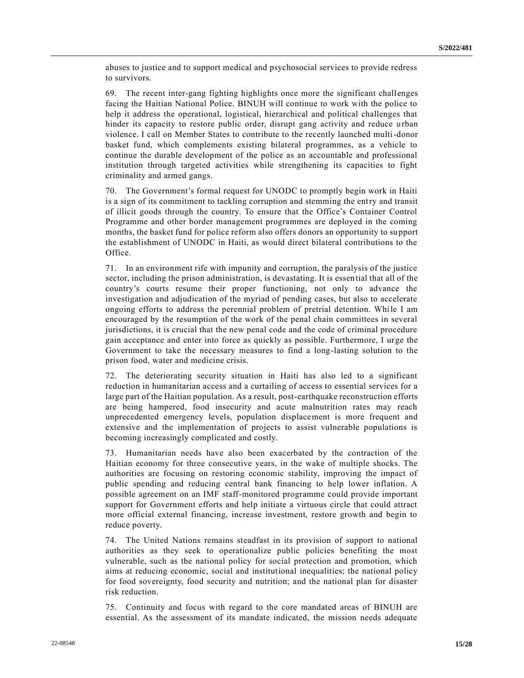abuses to justice and to support medical and psychosocial services to provide redress to survivors.

69. The recent inter-gang fighting highlights once more the significant challenges facing the Haitian National Police. BINUH will continue to work with the police to help it address the operational, logistical, hierarchical and political challenges that hinder its capacity to restore public order, disrupt gang activity and reduce urban violence. I call on Member States to contribute to the recently launched multi-donor basket fund, which complements existing bilateral programmes, as a vehicle to continue the durable development of the police as an accountable and professional institution through targeted activities while strengthening its capacities to fight criminality and armed gangs.

70. The Government's formal request for UNODC to promptly begin work in Haiti is a sign of its commitment to tackling corruption and stemming the entry and transit of illicit goods through the country. To ensure that the Office's Container Control Programme and other border management programmes are deployed in the coming months, the basket fund for police reform also offers donors an opportunity to support the establishment of UNODC in Haiti, as would direct bilateral contributions to the Office.

71. In an environment rife with impunity and corruption, the paralysis of the justice sector, including the prison administration, is devastating. It is essential that all of the country's courts resume their proper functioning, not only to advance the investigation and adjudication of the myriad of pending cases, but also to accelerate ongoing efforts to address the perennial problem of pretrial detention. While I am encouraged by the resumption of the work of the penal chain committees in several jurisdictions, it is crucial that the new penal code and the code of criminal procedure gain acceptance and enter into force as quickly as possible. Furthermore, I urge the Government to take the necessary measures to find a long-lasting solution to the prison food, water and medicine crisis.

72. The deteriorating security situation in Haiti has also led to a significant reduction in humanitarian access and a curtailing of access to essential services for a large part of the Haitian population. As a result, post-earthquake reconstruction efforts are being hampered, food insecurity and acute malnutrition rates may reach unprecedented emergency levels, population displacement is more frequent and extensive and the implementation of projects to assist vulnerable populations is becoming increasingly complicated and costly.

73. Humanitarian needs have also been exacerbated by the contraction of the Haitian economy for three consecutive years, in the wake of multiple shocks. The authorities are focusing on restoring economic stability, improving the impact of public spending and reducing central bank financing to help lower inflation. A possible agreement on an IMF staff-monitored programme could provide important support for Government efforts and help initiate a virtuous circle that could attract more official external financing, increase investment, restore growth and begin to reduce poverty.

74. The United Nations remains steadfast in its provision of support to national authorities as they seek to operationalize public policies benefiting the most vulnerable, such as the national policy for social protection and promotion, which aims at reducing economic, social and institutional inequalities; the national policy for food sovereignty, food security and nutrition; and the national plan for disaster risk reduction.

75. Continuity and focus with regard to the core mandated areas of BINUH are essential. As the assessment of its mandate indicated, the mission needs adequate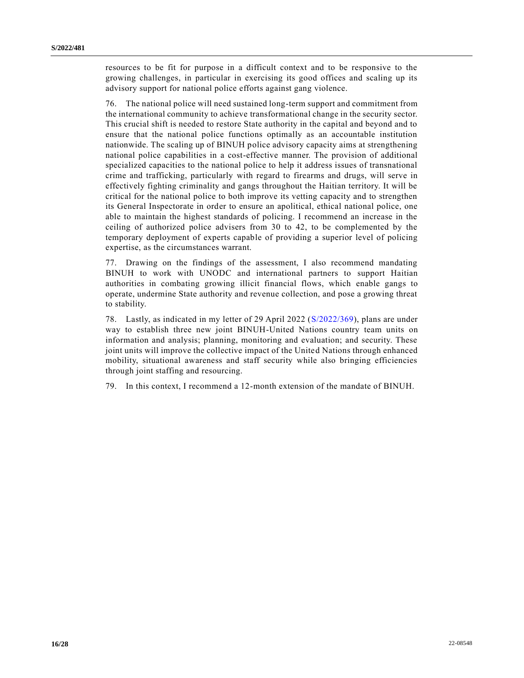resources to be fit for purpose in a difficult context and to be responsive to the growing challenges, in particular in exercising its good offices and scaling up its advisory support for national police efforts against gang violence.

76. The national police will need sustained long-term support and commitment from the international community to achieve transformational change in the security sector. This crucial shift is needed to restore State authority in the capital and beyond and to ensure that the national police functions optimally as an accountable institution nationwide. The scaling up of BINUH police advisory capacity aims at strengthening national police capabilities in a cost-effective manner. The provision of additional specialized capacities to the national police to help it address issues of transnational crime and trafficking, particularly with regard to firearms and drugs, will serve in effectively fighting criminality and gangs throughout the Haitian territory. It will be critical for the national police to both improve its vetting capacity and to strengthen its General Inspectorate in order to ensure an apolitical, ethical national police, one able to maintain the highest standards of policing. I recommend an increase in the ceiling of authorized police advisers from 30 to 42, to be complemented by the temporary deployment of experts capable of providing a superior level of policing expertise, as the circumstances warrant.

77. Drawing on the findings of the assessment, I also recommend mandating BINUH to work with UNODC and international partners to support Haitian authorities in combating growing illicit financial flows, which enable gangs to operate, undermine State authority and revenue collection, and pose a growing threat to stability.

78. Lastly, as indicated in my letter of 29 April 2022 [\(S/2022/369\)](https://undocs.org/en/S/2022/369), plans are under way to establish three new joint BINUH-United Nations country team units on information and analysis; planning, monitoring and evaluation; and security. These joint units will improve the collective impact of the United Nations through enhanced mobility, situational awareness and staff security while also bringing efficiencies through joint staffing and resourcing.

79. In this context, I recommend a 12-month extension of the mandate of BINUH.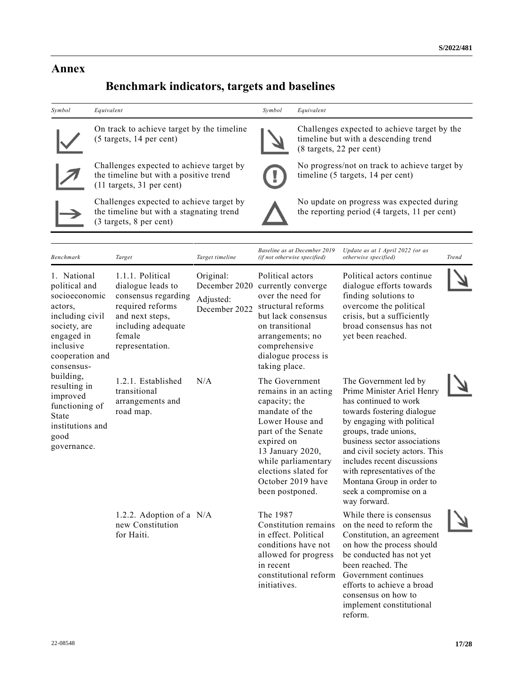### **Annex**

# **Benchmark indicators, targets and baselines**

| Symbol                                                                                                                                                  | Equivalent                                                                                                                                                                                |                                                          | Symbol                                                                                                                                                                                                  | Equivalent                                                                                                       |                                                                                                                                                                                       |       |
|---------------------------------------------------------------------------------------------------------------------------------------------------------|-------------------------------------------------------------------------------------------------------------------------------------------------------------------------------------------|----------------------------------------------------------|---------------------------------------------------------------------------------------------------------------------------------------------------------------------------------------------------------|------------------------------------------------------------------------------------------------------------------|---------------------------------------------------------------------------------------------------------------------------------------------------------------------------------------|-------|
|                                                                                                                                                         | On track to achieve target by the timeline<br>(5 targets, 14 per cent)<br>Challenges expected to achieve target by<br>the timeline but with a positive trend<br>(11 targets, 31 per cent) |                                                          |                                                                                                                                                                                                         | Challenges expected to achieve target by the<br>timeline but with a descending trend<br>(8 targets, 22 per cent) |                                                                                                                                                                                       |       |
|                                                                                                                                                         |                                                                                                                                                                                           |                                                          | No progress/not on track to achieve target by<br>timeline (5 targets, 14 per cent)                                                                                                                      |                                                                                                                  |                                                                                                                                                                                       |       |
|                                                                                                                                                         | Challenges expected to achieve target by<br>the timeline but with a stagnating trend<br>(3 targets, 8 per cent)                                                                           |                                                          |                                                                                                                                                                                                         |                                                                                                                  | No update on progress was expected during<br>the reporting period (4 targets, 11 per cent)                                                                                            |       |
| <b>Benchmark</b>                                                                                                                                        | Target                                                                                                                                                                                    | Target timeline                                          | Baseline as at December 2019<br>(if not otherwise specified)                                                                                                                                            |                                                                                                                  | Update as at 1 April 2022 (or as<br>otherwise specified)                                                                                                                              | Trend |
| 1. National<br>political and<br>socioeconomic<br>actors.<br>including civil<br>society, are<br>engaged in<br>inclusive<br>cooperation and<br>consensus- | 1.1.1. Political<br>dialogue leads to<br>consensus regarding<br>required reforms<br>and next steps,<br>including adequate<br>female<br>representation.                                    | Original:<br>December 2020<br>Adjusted:<br>December 2022 | Political actors<br>currently converge<br>over the need for<br>structural reforms<br>but lack consensus<br>on transitional<br>arrangements; no<br>comprehensive<br>dialogue process is<br>taking place. |                                                                                                                  | Political actors continue<br>dialogue efforts towards<br>finding solutions to<br>overcome the political<br>crisis, but a sufficiently<br>broad consensus has not<br>yet been reached. |       |
| building,                                                                                                                                               | $1.01 T + 11111$                                                                                                                                                                          | $\mathbf{X}$ $\mathbf{I}$ $\mathbf{A}$                   | $T1 \cap C$ is a set of $T$                                                                                                                                                                             |                                                                                                                  | 1111<br>$\mathbf{m}$ $\alpha$                                                                                                                                                         |       |

N/A The Government

capacity; the mandate of the Lower House and part of the Senate expired on 13 January 2020,

been postponed.

Constitution remains in effect. Political conditions have not allowed for progress

constitutional reform

The 1987

in recent

initiatives.

remains in an acting while parliamentary elections slated for October 2019 have The Government led by Prime Minister Ariel Henry has continued to work towards fostering dialogue by engaging with political groups, trade unions, business sector associations and civil society actors. This includes recent discussions with representatives of the Montana Group in order to seek a compromise on a way forward.

> While there is consensus on the need to reform the Constitution, an agreement on how the process should be conducted has not yet been reached. The Government continues efforts to achieve a broad consensus on how to implement constitutional reform.

resulting in improved functioning of 1.2.1. Established transitional arrangements and

1.2.2. Adoption of a

new Constitution

for Haiti.

road map.

institutions and

State

good governance.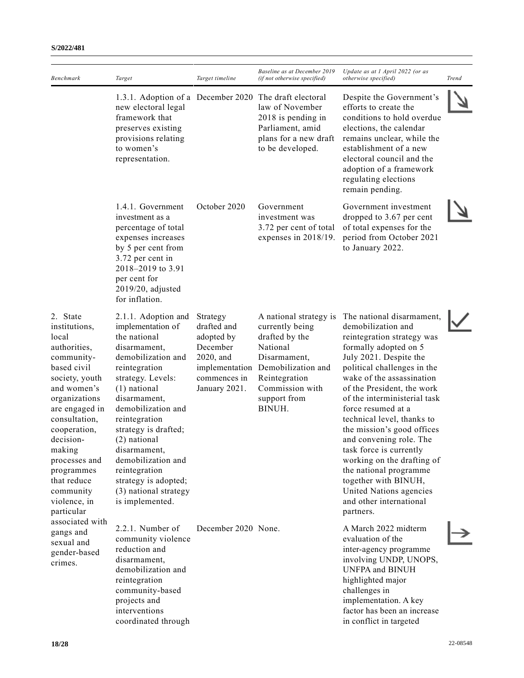| Benchmark                                                                                                                                                                                                                                                                                            | Target                                                                                                                                                                                                                                                                                                                                                                         | Target timeline                                                                                                   | Baseline as at December 2019<br>(if not otherwise specified)                                                                                                                | Update as at 1 April 2022 (or as<br>otherwise specified)                                                                                                                                                                                                                                                                                                                                                                                                                                                                                              | <b>Trend</b> |
|------------------------------------------------------------------------------------------------------------------------------------------------------------------------------------------------------------------------------------------------------------------------------------------------------|--------------------------------------------------------------------------------------------------------------------------------------------------------------------------------------------------------------------------------------------------------------------------------------------------------------------------------------------------------------------------------|-------------------------------------------------------------------------------------------------------------------|-----------------------------------------------------------------------------------------------------------------------------------------------------------------------------|-------------------------------------------------------------------------------------------------------------------------------------------------------------------------------------------------------------------------------------------------------------------------------------------------------------------------------------------------------------------------------------------------------------------------------------------------------------------------------------------------------------------------------------------------------|--------------|
|                                                                                                                                                                                                                                                                                                      | 1.3.1. Adoption of a December 2020<br>new electoral legal<br>framework that<br>preserves existing<br>provisions relating<br>to women's<br>representation.                                                                                                                                                                                                                      |                                                                                                                   | The draft electoral<br>law of November<br>2018 is pending in<br>Parliament, amid<br>plans for a new draft<br>to be developed.                                               | Despite the Government's<br>efforts to create the<br>conditions to hold overdue<br>elections, the calendar<br>remains unclear, while the<br>establishment of a new<br>electoral council and the<br>adoption of a framework<br>regulating elections<br>remain pending.                                                                                                                                                                                                                                                                                 |              |
|                                                                                                                                                                                                                                                                                                      | 1.4.1. Government<br>investment as a<br>percentage of total<br>expenses increases<br>by 5 per cent from<br>3.72 per cent in<br>2018-2019 to 3.91<br>per cent for<br>$2019/20$ , adjusted<br>for inflation.                                                                                                                                                                     | October 2020                                                                                                      | Government<br>investment was<br>3.72 per cent of total<br>expenses in 2018/19.                                                                                              | Government investment<br>dropped to 3.67 per cent<br>of total expenses for the<br>period from October 2021<br>to January 2022.                                                                                                                                                                                                                                                                                                                                                                                                                        |              |
| 2. State<br>institutions,<br>local<br>authorities,<br>community-<br>based civil<br>society, youth<br>and women's<br>organizations<br>are engaged in<br>consultation,<br>cooperation,<br>decision-<br>making<br>processes and<br>programmes<br>that reduce<br>community<br>violence, in<br>particular | 2.1.1. Adoption and<br>implementation of<br>the national<br>disarmament,<br>demobilization and<br>reintegration<br>strategy. Levels:<br>(1) national<br>disarmament,<br>demobilization and<br>reintegration<br>strategy is drafted;<br>(2) national<br>disarmament,<br>demobilization and<br>reintegration<br>strategy is adopted;<br>(3) national strategy<br>is implemented. | Strategy<br>drafted and<br>adopted by<br>December<br>2020, and<br>implementation<br>commences in<br>January 2021. | A national strategy is<br>currently being<br>drafted by the<br>National<br>Disarmament,<br>Demobilization and<br>Reintegration<br>Commission with<br>support from<br>BINUH. | The national disarmament,<br>demobilization and<br>reintegration strategy was<br>formally adopted on 5<br>July 2021. Despite the<br>political challenges in the<br>wake of the assassination<br>of the President, the work<br>of the interministerial task<br>force resumed at a<br>technical level, thanks to<br>the mission's good offices<br>and convening role. The<br>task force is currently<br>working on the drafting of<br>the national programme<br>together with BINUH,<br>United Nations agencies<br>and other international<br>partners. |              |
| associated with<br>gangs and<br>sexual and<br>gender-based<br>crimes.                                                                                                                                                                                                                                | 2.2.1. Number of<br>community violence<br>reduction and<br>disarmament,<br>demobilization and<br>reintegration<br>community-based<br>projects and<br>interventions<br>coordinated through                                                                                                                                                                                      | December 2020 None.                                                                                               |                                                                                                                                                                             | A March 2022 midterm<br>evaluation of the<br>inter-agency programme<br>involving UNDP, UNOPS,<br><b>UNFPA and BINUH</b><br>highlighted major<br>challenges in<br>implementation. A key<br>factor has been an increase<br>in conflict in targeted                                                                                                                                                                                                                                                                                                      |              |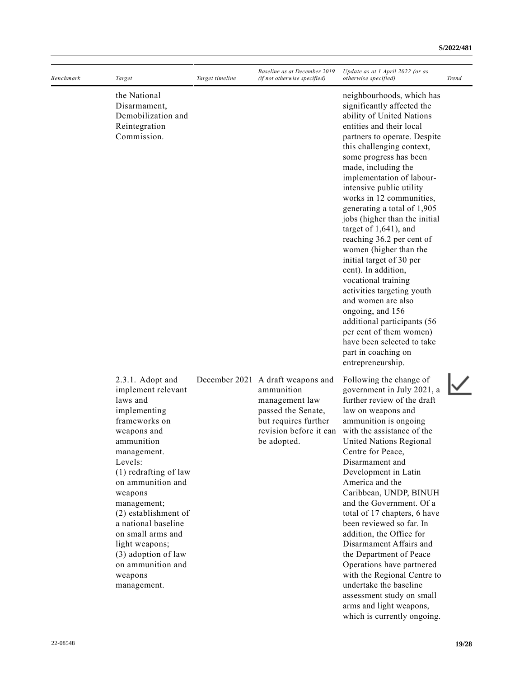| Benchmark | Target                                                                                                                                                                                                                                                                                                                                                                         | Target timeline | Baseline as at December 2019<br>(if not otherwise specified)                                                                                             | Update as at 1 April 2022 (or as<br>otherwise specified)                                                                                                                                                                                                                                                                                                                                                                                                                                                                                                                                                                                                                                                                                                     | <b>Trend</b> |
|-----------|--------------------------------------------------------------------------------------------------------------------------------------------------------------------------------------------------------------------------------------------------------------------------------------------------------------------------------------------------------------------------------|-----------------|----------------------------------------------------------------------------------------------------------------------------------------------------------|--------------------------------------------------------------------------------------------------------------------------------------------------------------------------------------------------------------------------------------------------------------------------------------------------------------------------------------------------------------------------------------------------------------------------------------------------------------------------------------------------------------------------------------------------------------------------------------------------------------------------------------------------------------------------------------------------------------------------------------------------------------|--------------|
|           | the National<br>Disarmament,<br>Demobilization and<br>Reintegration<br>Commission.                                                                                                                                                                                                                                                                                             |                 |                                                                                                                                                          | neighbourhoods, which has<br>significantly affected the<br>ability of United Nations<br>entities and their local<br>partners to operate. Despite<br>this challenging context,<br>some progress has been<br>made, including the<br>implementation of labour-<br>intensive public utility<br>works in 12 communities,<br>generating a total of 1,905<br>jobs (higher than the initial<br>target of $1,641$ ), and<br>reaching 36.2 per cent of<br>women (higher than the<br>initial target of 30 per<br>cent). In addition,<br>vocational training<br>activities targeting youth<br>and women are also<br>ongoing, and 156<br>additional participants (56<br>per cent of them women)<br>have been selected to take<br>part in coaching on<br>entrepreneurship. |              |
|           | 2.3.1. Adopt and<br>implement relevant<br>laws and<br>implementing<br>frameworks on<br>weapons and<br>ammunition<br>management.<br>Levels:<br>(1) redrafting of law<br>on ammunition and<br>weapons<br>management;<br>(2) establishment of<br>a national baseline<br>on small arms and<br>light weapons;<br>(3) adoption of law<br>on ammunition and<br>weapons<br>management. |                 | December 2021 A draft weapons and<br>ammunition<br>management law<br>passed the Senate,<br>but requires further<br>revision before it can<br>be adopted. | Following the change of<br>government in July 2021, a<br>further review of the draft<br>law on weapons and<br>ammunition is ongoing<br>with the assistance of the<br>United Nations Regional<br>Centre for Peace,<br>Disarmament and<br>Development in Latin<br>America and the<br>Caribbean, UNDP, BINUH<br>and the Government. Of a<br>total of 17 chapters, 6 have<br>been reviewed so far. In<br>addition, the Office for<br>Disarmament Affairs and<br>the Department of Peace<br>Operations have partnered<br>with the Regional Centre to<br>undertake the baseline<br>assessment study on small                                                                                                                                                       |              |

arms and light weapons, which is currently ongoing.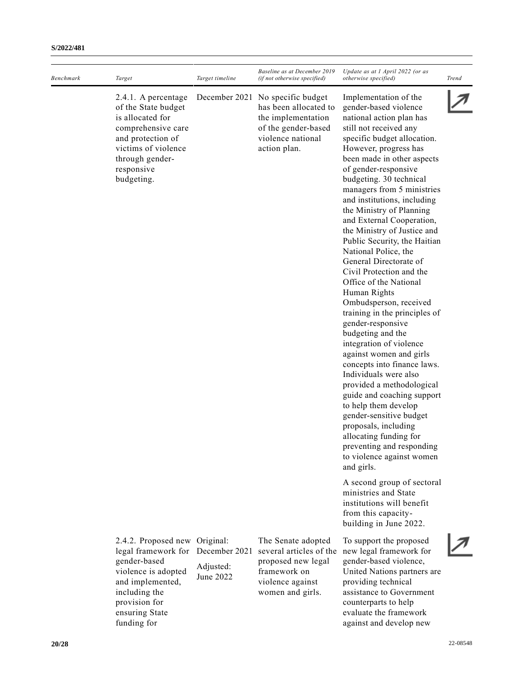| Baseline as at December 2019<br>Update as at 1 April 2022 (or as<br>Benchmark<br>Target<br>Target timeline<br><i>(if not otherwise specified)</i><br><i>otherwise specified</i> )<br>December 2021 No specific budget<br>Implementation of the<br>2.4.1. A percentage<br>of the State budget<br>has been allocated to<br>gender-based violence<br>is allocated for<br>the implementation<br>national action plan has<br>comprehensive care<br>still not received any<br>of the gender-based<br>violence national<br>specific budget allocation.<br>and protection of<br>victims of violence<br>action plan.<br>However, progress has<br>through gender-<br>been made in other aspects<br>of gender-responsive<br>responsive<br>budgeting.<br>budgeting. 30 technical<br>managers from 5 ministries<br>and institutions, including<br>the Ministry of Planning<br>and External Cooperation,<br>the Ministry of Justice and<br>Public Security, the Haitian<br>National Police, the<br>General Directorate of<br>Civil Protection and the<br>Office of the National<br>Human Rights<br>Ombudsperson, received<br>training in the principles of<br>gender-responsive<br>budgeting and the<br>integration of violence<br>against women and girls<br>concepts into finance laws.<br>Individuals were also<br>provided a methodological<br>guide and coaching support<br>to help them develop<br>gender-sensitive budget<br>proposals, including<br>allocating funding for<br>preventing and responding<br>to violence against women<br>and girls.<br>A second group of sectoral<br>ministries and State<br>institutions will benefit<br>from this capacity-<br>building in June 2022.<br>2.4.2. Proposed new Original:<br>The Senate adopted<br>To support the proposed<br>December 2021<br>several articles of the<br>legal framework for<br>new legal framework for<br>gender-based<br>gender-based violence,<br>proposed new legal<br>Adjusted:<br>framework on<br>violence is adopted<br>United Nations partners are<br>June 2022<br>violence against<br>providing technical<br>and implemented,<br>assistance to Government<br>including the<br>women and girls.<br>provision for<br>counterparts to help<br>ensuring State<br>evaluate the framework<br>funding for<br>against and develop new |  |  |              |
|-------------------------------------------------------------------------------------------------------------------------------------------------------------------------------------------------------------------------------------------------------------------------------------------------------------------------------------------------------------------------------------------------------------------------------------------------------------------------------------------------------------------------------------------------------------------------------------------------------------------------------------------------------------------------------------------------------------------------------------------------------------------------------------------------------------------------------------------------------------------------------------------------------------------------------------------------------------------------------------------------------------------------------------------------------------------------------------------------------------------------------------------------------------------------------------------------------------------------------------------------------------------------------------------------------------------------------------------------------------------------------------------------------------------------------------------------------------------------------------------------------------------------------------------------------------------------------------------------------------------------------------------------------------------------------------------------------------------------------------------------------------------------------------------------------------------------------------------------------------------------------------------------------------------------------------------------------------------------------------------------------------------------------------------------------------------------------------------------------------------------------------------------------------------------------------------------------------------------------------------------------------------------------------------------|--|--|--------------|
|                                                                                                                                                                                                                                                                                                                                                                                                                                                                                                                                                                                                                                                                                                                                                                                                                                                                                                                                                                                                                                                                                                                                                                                                                                                                                                                                                                                                                                                                                                                                                                                                                                                                                                                                                                                                                                                                                                                                                                                                                                                                                                                                                                                                                                                                                                 |  |  | <b>Trend</b> |
|                                                                                                                                                                                                                                                                                                                                                                                                                                                                                                                                                                                                                                                                                                                                                                                                                                                                                                                                                                                                                                                                                                                                                                                                                                                                                                                                                                                                                                                                                                                                                                                                                                                                                                                                                                                                                                                                                                                                                                                                                                                                                                                                                                                                                                                                                                 |  |  |              |
|                                                                                                                                                                                                                                                                                                                                                                                                                                                                                                                                                                                                                                                                                                                                                                                                                                                                                                                                                                                                                                                                                                                                                                                                                                                                                                                                                                                                                                                                                                                                                                                                                                                                                                                                                                                                                                                                                                                                                                                                                                                                                                                                                                                                                                                                                                 |  |  |              |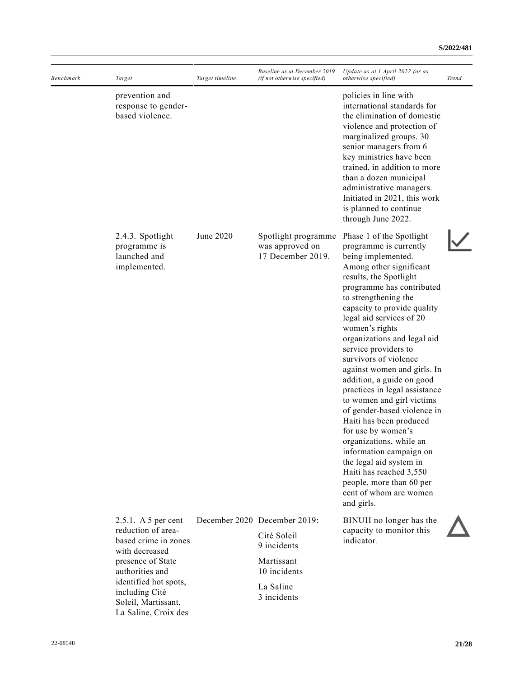| <b>Benchmark</b> | Target                                                                                                                                                                                                                  | Target timeline | Baseline as at December 2019<br>(if not otherwise specified)                                                         | Update as at 1 April 2022 (or as<br>otherwise specified)                                                                                                                                                                                                                                                                                                                                                                                                                                                                                                                                                                                                                                                                                  | Trend |
|------------------|-------------------------------------------------------------------------------------------------------------------------------------------------------------------------------------------------------------------------|-----------------|----------------------------------------------------------------------------------------------------------------------|-------------------------------------------------------------------------------------------------------------------------------------------------------------------------------------------------------------------------------------------------------------------------------------------------------------------------------------------------------------------------------------------------------------------------------------------------------------------------------------------------------------------------------------------------------------------------------------------------------------------------------------------------------------------------------------------------------------------------------------------|-------|
|                  | prevention and<br>response to gender-<br>based violence.                                                                                                                                                                |                 |                                                                                                                      | policies in line with<br>international standards for<br>the elimination of domestic<br>violence and protection of<br>marginalized groups. 30<br>senior managers from 6<br>key ministries have been<br>trained, in addition to more<br>than a dozen municipal<br>administrative managers.<br>Initiated in 2021, this work<br>is planned to continue<br>through June 2022.                                                                                                                                                                                                                                                                                                                                                                  |       |
|                  | 2.4.3. Spotlight<br>programme is<br>launched and<br>implemented.                                                                                                                                                        | June 2020       | Spotlight programme<br>was approved on<br>17 December 2019.                                                          | Phase 1 of the Spotlight<br>programme is currently<br>being implemented.<br>Among other significant<br>results, the Spotlight<br>programme has contributed<br>to strengthening the<br>capacity to provide quality<br>legal aid services of 20<br>women's rights<br>organizations and legal aid<br>service providers to<br>survivors of violence<br>against women and girls. In<br>addition, a guide on good<br>practices in legal assistance<br>to women and girl victims<br>of gender-based violence in<br>Haiti has been produced<br>for use by women's<br>organizations, while an<br>information campaign on<br>the legal aid system in<br>Haiti has reached 3,550<br>people, more than 60 per<br>cent of whom are women<br>and girls. |       |
|                  | $2.5.1.$ A 5 per cent<br>reduction of area-<br>based crime in zones<br>with decreased<br>presence of State<br>authorities and<br>identified hot spots,<br>including Cité<br>Soleil, Martissant,<br>La Saline, Croix des |                 | December 2020 December 2019:<br>Cité Soleil<br>9 incidents<br>Martissant<br>10 incidents<br>La Saline<br>3 incidents | BINUH no longer has the<br>capacity to monitor this<br>indicator.                                                                                                                                                                                                                                                                                                                                                                                                                                                                                                                                                                                                                                                                         |       |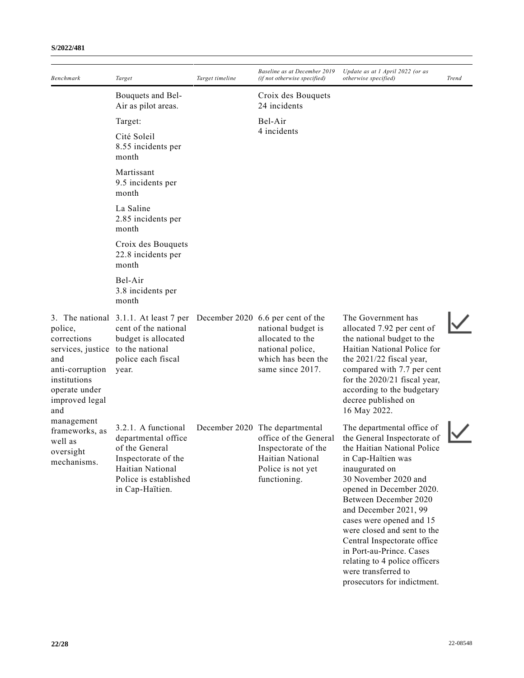| Benchmark                                                                                                                                       | Target                                                                                                                                                | Target timeline | Baseline as at December 2019<br>(if not otherwise specified)                                                                            | Update as at 1 April 2022 (or as<br>otherwise specified)                                                                                                                                                                                                                                                                                                     | Trend |
|-------------------------------------------------------------------------------------------------------------------------------------------------|-------------------------------------------------------------------------------------------------------------------------------------------------------|-----------------|-----------------------------------------------------------------------------------------------------------------------------------------|--------------------------------------------------------------------------------------------------------------------------------------------------------------------------------------------------------------------------------------------------------------------------------------------------------------------------------------------------------------|-------|
|                                                                                                                                                 | Bouquets and Bel-<br>Air as pilot areas.                                                                                                              |                 | Croix des Bouquets<br>24 incidents                                                                                                      |                                                                                                                                                                                                                                                                                                                                                              |       |
|                                                                                                                                                 | Target:                                                                                                                                               |                 | Bel-Air                                                                                                                                 |                                                                                                                                                                                                                                                                                                                                                              |       |
|                                                                                                                                                 | Cité Soleil<br>8.55 incidents per<br>month                                                                                                            |                 | 4 incidents                                                                                                                             |                                                                                                                                                                                                                                                                                                                                                              |       |
|                                                                                                                                                 | Martissant<br>9.5 incidents per<br>month                                                                                                              |                 |                                                                                                                                         |                                                                                                                                                                                                                                                                                                                                                              |       |
|                                                                                                                                                 | La Saline<br>2.85 incidents per<br>month                                                                                                              |                 |                                                                                                                                         |                                                                                                                                                                                                                                                                                                                                                              |       |
|                                                                                                                                                 | Croix des Bouquets<br>22.8 incidents per<br>month                                                                                                     |                 |                                                                                                                                         |                                                                                                                                                                                                                                                                                                                                                              |       |
|                                                                                                                                                 | Bel-Air<br>3.8 incidents per<br>month                                                                                                                 |                 |                                                                                                                                         |                                                                                                                                                                                                                                                                                                                                                              |       |
| police,<br>corrections<br>services, justice to the national<br>and<br>anti-corruption<br>institutions<br>operate under<br>improved legal<br>and | 3. The national 3.1.1. At least 7 per December 2020 6.6 per cent of the<br>cent of the national<br>budget is allocated<br>police each fiscal<br>year. |                 | national budget is<br>allocated to the<br>national police,<br>which has been the<br>same since 2017.                                    | The Government has<br>allocated 7.92 per cent of<br>the national budget to the<br>Haitian National Police for<br>the 2021/22 fiscal year,<br>compared with 7.7 per cent<br>for the 2020/21 fiscal year,<br>according to the budgetary<br>decree published on<br>16 May 2022.                                                                                 |       |
| management<br>frameworks, as<br>well as<br>oversight<br>mechanisms.                                                                             | 3.2.1. A functional<br>departmental office<br>of the General<br>Inspectorate of the<br>Haitian National<br>Police is established<br>in Cap-Haïtien.   |                 | December 2020 The departmental<br>office of the General<br>Inspectorate of the<br>Haitian National<br>Police is not yet<br>functioning. | The departmental office of<br>the General Inspectorate of<br>the Haitian National Police<br>in Cap-Haïtien was<br>inaugurated on<br>30 November 2020 and<br>opened in December 2020.<br>Between December 2020<br>and December 2021, 99<br>cases were opened and 15<br>were closed and sent to the<br>Central Inspectorate office<br>in Port-au-Prince. Cases |       |

relating to 4 police officers

prosecutors for indictment.

were transferred to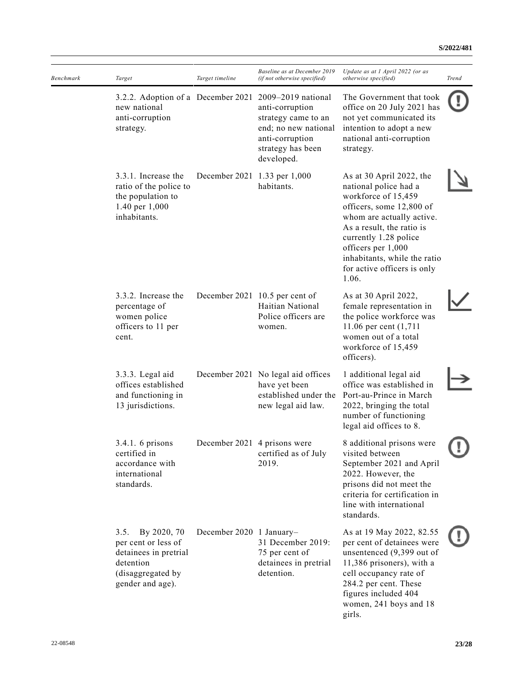| Benchmark | Target                                                                                                                    | Target timeline              | Baseline as at December 2019<br>(if not otherwise specified)                                                                               | Update as at 1 April 2022 (or as<br>otherwise specified)                                                                                                                                                                                                                              | <b>Trend</b> |
|-----------|---------------------------------------------------------------------------------------------------------------------------|------------------------------|--------------------------------------------------------------------------------------------------------------------------------------------|---------------------------------------------------------------------------------------------------------------------------------------------------------------------------------------------------------------------------------------------------------------------------------------|--------------|
|           | 3.2.2. Adoption of a December 2021<br>new national<br>anti-corruption<br>strategy.                                        |                              | 2009–2019 national<br>anti-corruption<br>strategy came to an<br>end; no new national<br>anti-corruption<br>strategy has been<br>developed. | The Government that took<br>office on 20 July 2021 has<br>not yet communicated its<br>intention to adopt a new<br>national anti-corruption<br>strategy.                                                                                                                               |              |
|           | 3.3.1. Increase the<br>ratio of the police to<br>the population to<br>1.40 per 1,000<br>inhabitants.                      | December 2021 1.33 per 1,000 | habitants.                                                                                                                                 | As at 30 April 2022, the<br>national police had a<br>workforce of 15,459<br>officers, some 12,800 of<br>whom are actually active.<br>As a result, the ratio is<br>currently 1.28 police<br>officers per 1,000<br>inhabitants, while the ratio<br>for active officers is only<br>1.06. |              |
|           | 3.3.2. Increase the<br>percentage of<br>women police<br>officers to 11 per<br>cent.                                       |                              | December 2021 10.5 per cent of<br>Haitian National<br>Police officers are<br>women.                                                        | As at 30 April 2022,<br>female representation in<br>the police workforce was<br>11.06 per cent (1,711<br>women out of a total<br>workforce of 15,459<br>officers).                                                                                                                    |              |
|           | 3.3.3. Legal aid<br>offices established<br>and functioning in<br>13 jurisdictions.                                        |                              | December 2021 No legal aid offices<br>have yet been<br>established under the<br>new legal aid law.                                         | 1 additional legal aid<br>office was established in<br>Port-au-Prince in March<br>2022, bringing the total<br>number of functioning<br>legal aid offices to 8.                                                                                                                        |              |
|           | 3.4.1. 6 prisons<br>certified in<br>accordance with<br>international<br>standards.                                        | December 2021 4 prisons were | certified as of July<br>2019.                                                                                                              | 8 additional prisons were<br>visited between<br>September 2021 and April<br>2022. However, the<br>prisons did not meet the<br>criteria for certification in<br>line with international<br>standards.                                                                                  |              |
|           | By 2020, 70<br>3.5.<br>per cent or less of<br>detainees in pretrial<br>detention<br>(disaggregated by<br>gender and age). | December 2020 1 January-     | 31 December 2019:<br>75 per cent of<br>detainees in pretrial<br>detention.                                                                 | As at 19 May 2022, 82.55<br>per cent of detainees were<br>unsentenced (9,399 out of<br>11,386 prisoners), with a<br>cell occupancy rate of<br>284.2 per cent. These<br>figures included 404<br>women, 241 boys and 18<br>girls.                                                       |              |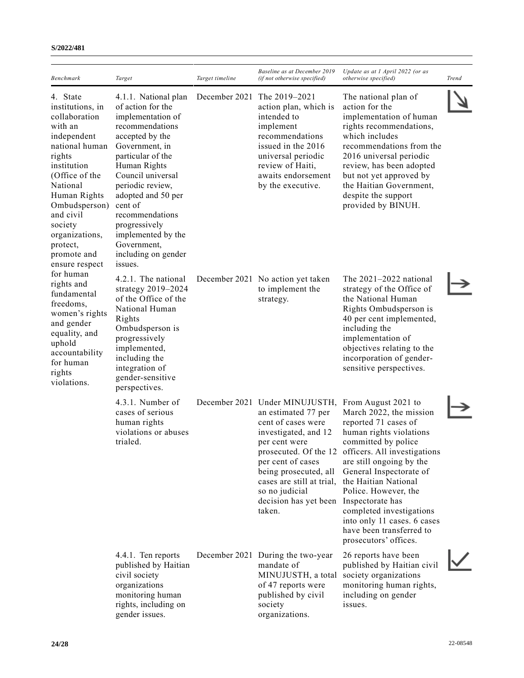#### **S/2022/481**

| <b>Benchmark</b>                                                                                                                                                                                                                                                                                                                                                                                                                                   | Target                                                                                                                                                                                                                                                                                                                                           | Target timeline | Baseline as at December 2019<br>(if not otherwise specified)                                                                                                                                                                                                          | Update as at 1 April 2022 (or as<br><i>otherwise specified</i> )                                                                                                                                                                                                                                                                                                                                      | <b>Trend</b> |
|----------------------------------------------------------------------------------------------------------------------------------------------------------------------------------------------------------------------------------------------------------------------------------------------------------------------------------------------------------------------------------------------------------------------------------------------------|--------------------------------------------------------------------------------------------------------------------------------------------------------------------------------------------------------------------------------------------------------------------------------------------------------------------------------------------------|-----------------|-----------------------------------------------------------------------------------------------------------------------------------------------------------------------------------------------------------------------------------------------------------------------|-------------------------------------------------------------------------------------------------------------------------------------------------------------------------------------------------------------------------------------------------------------------------------------------------------------------------------------------------------------------------------------------------------|--------------|
| 4. State<br>institutions, in<br>collaboration<br>with an<br>independent<br>national human<br>rights<br>institution<br>(Office of the<br>National<br>Human Rights<br>Ombudsperson)<br>and civil<br>society<br>organizations,<br>protect,<br>promote and<br>ensure respect<br>for human<br>rights and<br>fundamental<br>freedoms,<br>women's rights<br>and gender<br>equality, and<br>uphold<br>accountability<br>for human<br>rights<br>violations. | 4.1.1. National plan<br>of action for the<br>implementation of<br>recommendations<br>accepted by the<br>Government, in<br>particular of the<br>Human Rights<br>Council universal<br>periodic review,<br>adopted and 50 per<br>cent of<br>recommendations<br>progressively<br>implemented by the<br>Government,<br>including on gender<br>issues. |                 | December 2021 The 2019-2021<br>action plan, which is<br>intended to<br>implement<br>recommendations<br>issued in the 2016<br>universal periodic<br>review of Haiti,<br>awaits endorsement<br>by the executive.                                                        | The national plan of<br>action for the<br>implementation of human<br>rights recommendations,<br>which includes<br>recommendations from the<br>2016 universal periodic<br>review, has been adopted<br>but not yet approved by<br>the Haitian Government,<br>despite the support<br>provided by BINUH.                                                                                                  |              |
|                                                                                                                                                                                                                                                                                                                                                                                                                                                    | 4.2.1. The national<br>strategy $2019 - 2024$<br>of the Office of the<br>National Human<br>Rights<br>Ombudsperson is<br>progressively<br>implemented,<br>including the<br>integration of<br>gender-sensitive<br>perspectives.                                                                                                                    |                 | December 2021 No action yet taken<br>to implement the<br>strategy.                                                                                                                                                                                                    | The $2021-2022$ national<br>strategy of the Office of<br>the National Human<br>Rights Ombudsperson is<br>40 per cent implemented,<br>including the<br>implementation of<br>objectives relating to the<br>incorporation of gender-<br>sensitive perspectives.                                                                                                                                          |              |
|                                                                                                                                                                                                                                                                                                                                                                                                                                                    | 4.3.1. Number of<br>cases of serious<br>human rights<br>violations or abuses<br>trialed.                                                                                                                                                                                                                                                         |                 | December 2021 Under MINUJUSTH,<br>an estimated 77 per<br>cent of cases were<br>investigated, and 12<br>per cent were<br>per cent of cases<br>being prosecuted, all<br>cases are still at trial,<br>so no judicial<br>decision has yet been Inspectorate has<br>taken. | From August 2021 to<br>March 2022, the mission<br>reported 71 cases of<br>human rights violations<br>committed by police<br>prosecuted. Of the 12 officers. All investigations<br>are still ongoing by the<br>General Inspectorate of<br>the Haitian National<br>Police. However, the<br>completed investigations<br>into only 11 cases. 6 cases<br>have been transferred to<br>prosecutors' offices. |              |
|                                                                                                                                                                                                                                                                                                                                                                                                                                                    | 4.4.1. Ten reports<br>published by Haitian<br>civil society<br>organizations<br>monitoring human<br>rights, including on<br>gender issues.                                                                                                                                                                                                       |                 | December 2021 During the two-year<br>mandate of<br>MINUJUSTH, a total<br>of 47 reports were<br>published by civil<br>society<br>organizations.                                                                                                                        | 26 reports have been<br>published by Haitian civil<br>society organizations<br>monitoring human rights,<br>including on gender<br>issues.                                                                                                                                                                                                                                                             |              |

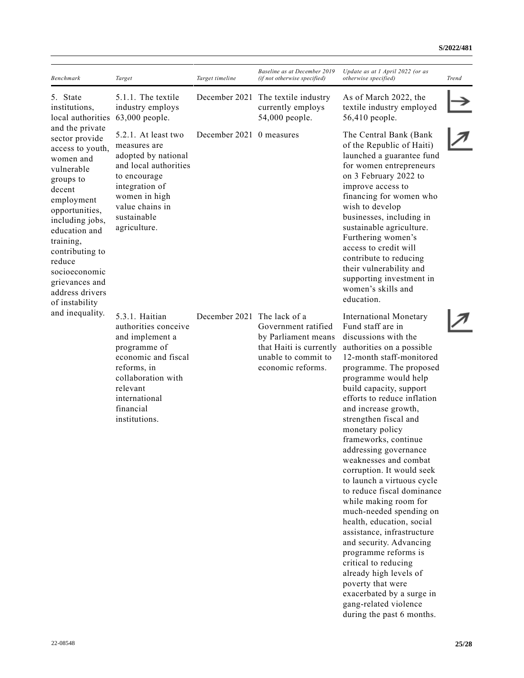#### **S/2022/481**

| Benchmark                                                                                                                                                                                                                                                                                                                                       | Target                                                                                                                                                                                           | Target timeline             | Baseline as at December 2019<br>(if not otherwise specified)                                                      | Update as at 1 April 2022 (or as<br><i>otherwise specified</i> )                                                                                                                                                                                                                                                                                                                                                                                                                                                                                                                                                                                                                                                                                                                                                    | Trend |
|-------------------------------------------------------------------------------------------------------------------------------------------------------------------------------------------------------------------------------------------------------------------------------------------------------------------------------------------------|--------------------------------------------------------------------------------------------------------------------------------------------------------------------------------------------------|-----------------------------|-------------------------------------------------------------------------------------------------------------------|---------------------------------------------------------------------------------------------------------------------------------------------------------------------------------------------------------------------------------------------------------------------------------------------------------------------------------------------------------------------------------------------------------------------------------------------------------------------------------------------------------------------------------------------------------------------------------------------------------------------------------------------------------------------------------------------------------------------------------------------------------------------------------------------------------------------|-------|
| 5. State<br>institutions,<br>local authorities<br>and the private<br>sector provide<br>access to youth,<br>women and<br>vulnerable<br>groups to<br>decent<br>employment<br>opportunities,<br>including jobs,<br>education and<br>training,<br>contributing to<br>reduce<br>socioeconomic<br>grievances and<br>address drivers<br>of instability | 5.1.1. The textile<br>industry employs<br>63,000 people.                                                                                                                                         |                             | December 2021 The textile industry<br>currently employs<br>54,000 people.                                         | As of March 2022, the<br>textile industry employed<br>56,410 people.                                                                                                                                                                                                                                                                                                                                                                                                                                                                                                                                                                                                                                                                                                                                                |       |
|                                                                                                                                                                                                                                                                                                                                                 | 5.2.1. At least two<br>measures are<br>adopted by national<br>and local authorities<br>to encourage<br>integration of<br>women in high<br>value chains in<br>sustainable<br>agriculture.         | December 2021 0 measures    |                                                                                                                   | The Central Bank (Bank<br>of the Republic of Haiti)<br>launched a guarantee fund<br>for women entrepreneurs<br>on 3 February 2022 to<br>improve access to<br>financing for women who<br>wish to develop<br>businesses, including in<br>sustainable agriculture.<br>Furthering women's<br>access to credit will<br>contribute to reducing<br>their vulnerability and<br>supporting investment in<br>women's skills and<br>education.                                                                                                                                                                                                                                                                                                                                                                                 |       |
| and inequality.                                                                                                                                                                                                                                                                                                                                 | 5.3.1. Haitian<br>authorities conceive<br>and implement a<br>programme of<br>economic and fiscal<br>reforms, in<br>collaboration with<br>relevant<br>international<br>financial<br>institutions. | December 2021 The lack of a | Government ratified<br>by Parliament means<br>that Haiti is currently<br>unable to commit to<br>economic reforms. | <b>International Monetary</b><br>Fund staff are in<br>discussions with the<br>authorities on a possible<br>12-month staff-monitored<br>programme. The proposed<br>programme would help<br>build capacity, support<br>efforts to reduce inflation<br>and increase growth,<br>strengthen fiscal and<br>monetary policy<br>frameworks, continue<br>addressing governance<br>weaknesses and combat<br>corruption. It would seek<br>to launch a virtuous cycle<br>to reduce fiscal dominance<br>while making room for<br>much-needed spending on<br>health, education, social<br>assistance, infrastructure<br>and security. Advancing<br>programme reforms is<br>critical to reducing<br>already high levels of<br>poverty that were<br>exacerbated by a surge in<br>gang-related violence<br>during the past 6 months. |       |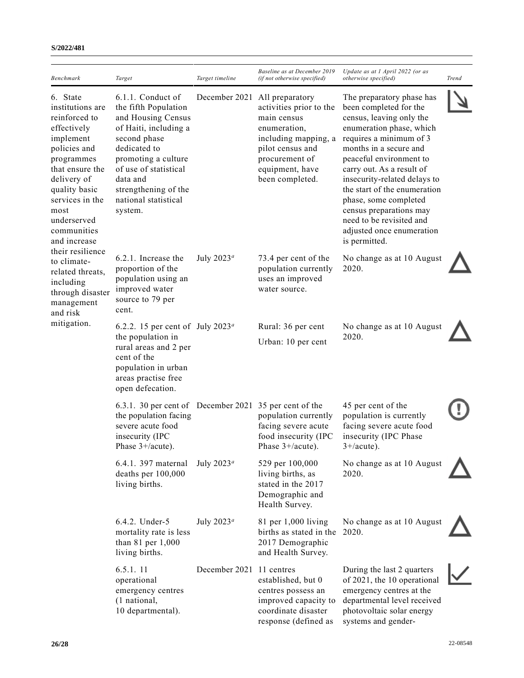|                                                                                                                                                                                                                                     |                                                                                                                                                                                                                                                 |                          | Baseline as at December 2019                                                                                                                                                  | Update as at 1 April 2022 (or as                                                                                                                                                                                                                                                                                                                                                                                       |       |
|-------------------------------------------------------------------------------------------------------------------------------------------------------------------------------------------------------------------------------------|-------------------------------------------------------------------------------------------------------------------------------------------------------------------------------------------------------------------------------------------------|--------------------------|-------------------------------------------------------------------------------------------------------------------------------------------------------------------------------|------------------------------------------------------------------------------------------------------------------------------------------------------------------------------------------------------------------------------------------------------------------------------------------------------------------------------------------------------------------------------------------------------------------------|-------|
| <b>Benchmark</b>                                                                                                                                                                                                                    | Target                                                                                                                                                                                                                                          | Target timeline          | (if not otherwise specified)                                                                                                                                                  | otherwise specified)                                                                                                                                                                                                                                                                                                                                                                                                   | Trend |
| 6. State<br>institutions are<br>reinforced to<br>effectively<br>implement<br>policies and<br>programmes<br>that ensure the<br>delivery of<br>quality basic<br>services in the<br>most<br>underserved<br>communities<br>and increase | 6.1.1. Conduct of<br>the fifth Population<br>and Housing Census<br>of Haiti, including a<br>second phase<br>dedicated to<br>promoting a culture<br>of use of statistical<br>data and<br>strengthening of the<br>national statistical<br>system. | December 2021            | All preparatory<br>activities prior to the<br>main census<br>enumeration,<br>including mapping, a<br>pilot census and<br>procurement of<br>equipment, have<br>been completed. | The preparatory phase has<br>been completed for the<br>census, leaving only the<br>enumeration phase, which<br>requires a minimum of 3<br>months in a secure and<br>peaceful environment to<br>carry out. As a result of<br>insecurity-related delays to<br>the start of the enumeration<br>phase, some completed<br>census preparations may<br>need to be revisited and<br>adjusted once enumeration<br>is permitted. |       |
| their resilience<br>to climate-<br>related threats,<br>including<br>through disaster<br>management<br>and risk                                                                                                                      | 6.2.1. Increase the<br>proportion of the<br>population using an<br>improved water<br>source to 79 per<br>cent.                                                                                                                                  | July $2023^a$            | 73.4 per cent of the<br>population currently<br>uses an improved<br>water source.                                                                                             | No change as at 10 August<br>2020.                                                                                                                                                                                                                                                                                                                                                                                     |       |
| mitigation.                                                                                                                                                                                                                         | 6.2.2. 15 per cent of July 2023 <sup>a</sup><br>the population in<br>rural areas and 2 per<br>cent of the<br>population in urban<br>areas practise free<br>open defecation.                                                                     |                          | Rural: 36 per cent<br>Urban: 10 per cent                                                                                                                                      | No change as at 10 August<br>2020.                                                                                                                                                                                                                                                                                                                                                                                     |       |
|                                                                                                                                                                                                                                     | 6.3.1. 30 per cent of December 2021 35 per cent of the<br>the population facing<br>severe acute food<br>insecurity (IPC<br>Phase 3+/acute).                                                                                                     |                          | population currently<br>facing severe acute<br>food insecurity (IPC<br>Phase $3+/acute$ ).                                                                                    | 45 per cent of the<br>population is currently<br>facing severe acute food<br>insecurity (IPC Phase<br>$3 + /acute$ ).                                                                                                                                                                                                                                                                                                  |       |
|                                                                                                                                                                                                                                     | 6.4.1. 397 maternal<br>deaths per 100,000<br>living births.                                                                                                                                                                                     | July $2023^a$            | 529 per 100,000<br>living births, as<br>stated in the 2017<br>Demographic and<br>Health Survey.                                                                               | No change as at 10 August<br>2020.                                                                                                                                                                                                                                                                                                                                                                                     |       |
|                                                                                                                                                                                                                                     | 6.4.2. Under-5<br>mortality rate is less<br>than $81$ per $1,000$<br>living births.                                                                                                                                                             | July $2023^a$            | 81 per 1,000 living<br>births as stated in the<br>2017 Demographic<br>and Health Survey.                                                                                      | No change as at 10 August<br>2020.                                                                                                                                                                                                                                                                                                                                                                                     |       |
|                                                                                                                                                                                                                                     | 6.5.1.11<br>operational<br>emergency centres<br>(1 national,<br>10 departmental).                                                                                                                                                               | December 2021 11 centres | established, but 0<br>centres possess an<br>improved capacity to<br>coordinate disaster<br>response (defined as                                                               | During the last 2 quarters<br>of 2021, the 10 operational<br>emergency centres at the<br>departmental level received<br>photovoltaic solar energy<br>systems and gender-                                                                                                                                                                                                                                               |       |

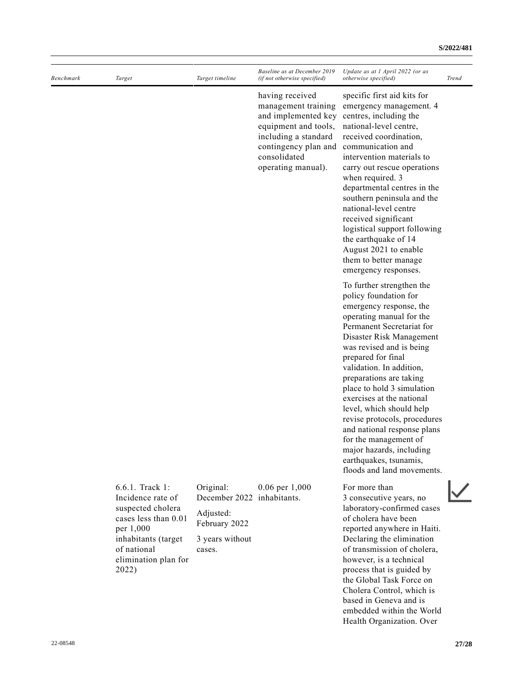| Benchmark | Target                                                                                                                                                                | Target timeline                                                                       | Baseline as at December 2019<br>(if not otherwise specified)                                                                                                                | Update as at 1 April 2022 (or as<br>otherwise specified)                                                                                                                                                                                                                                                                                                                                                                                                                                                                                       | <b>Trend</b> |
|-----------|-----------------------------------------------------------------------------------------------------------------------------------------------------------------------|---------------------------------------------------------------------------------------|-----------------------------------------------------------------------------------------------------------------------------------------------------------------------------|------------------------------------------------------------------------------------------------------------------------------------------------------------------------------------------------------------------------------------------------------------------------------------------------------------------------------------------------------------------------------------------------------------------------------------------------------------------------------------------------------------------------------------------------|--------------|
|           |                                                                                                                                                                       |                                                                                       | having received<br>management training<br>and implemented key<br>equipment and tools,<br>including a standard<br>contingency plan and<br>consolidated<br>operating manual). | specific first aid kits for<br>emergency management. 4<br>centres, including the<br>national-level centre,<br>received coordination,<br>communication and<br>intervention materials to<br>carry out rescue operations<br>when required. 3<br>departmental centres in the<br>southern peninsula and the<br>national-level centre<br>received significant<br>logistical support following<br>the earthquake of 14<br>August 2021 to enable<br>them to better manage<br>emergency responses.                                                      |              |
|           |                                                                                                                                                                       |                                                                                       |                                                                                                                                                                             | To further strengthen the<br>policy foundation for<br>emergency response, the<br>operating manual for the<br>Permanent Secretariat for<br>Disaster Risk Management<br>was revised and is being<br>prepared for final<br>validation. In addition,<br>preparations are taking<br>place to hold 3 simulation<br>exercises at the national<br>level, which should help<br>revise protocols, procedures<br>and national response plans<br>for the management of<br>major hazards, including<br>earthquakes, tsunamis,<br>floods and land movements. |              |
|           | 6.6.1. Track 1:<br>Incidence rate of<br>suspected cholera<br>cases less than 0.01<br>per 1,000<br>inhabitants (target<br>of national<br>elimination plan for<br>2022) | Original:<br>December 2022<br>Adjusted:<br>February 2022<br>3 years without<br>cases. | $0.06$ per $1,000$<br>inhabitants.                                                                                                                                          | For more than<br>3 consecutive years, no<br>laboratory-confirmed cases<br>of cholera have been<br>reported anywhere in Haiti.<br>Declaring the elimination<br>of transmission of cholera,<br>however, is a technical<br>process that is guided by<br>the Global Task Force on<br>Cholera Control, which is<br>based in Geneva and is                                                                                                                                                                                                           |              |

embedded within the World Health Organization. Over